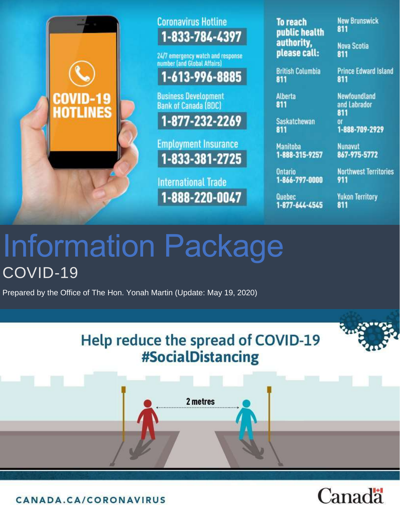

## **Coronavirus Hotline** 1-833-784-4397

24/7 emergency watch and response number (and Global Affairs)

## 1-613-996-8885

**Business Development Bank of Canada (BDC)** 



**Employment Insurance** 1-833-381-2725

**International Trade** 1-888-220-0047

**To reach** public health authority, please call:

**New Brunswick** 811

**Nova Scotia** 811

Newfoundland

and Labrador

811

811

**OF** 

**British Columbia** 811

**Prince Edward Island** 811

**Alberta** 811

**Saskatchewan** 811

**Manitoba** 1-888-315-9257 **Nunavut** 867-975-5772

1-888-709-2929

**Ontario** 1-866-797-0000

Quebec 1-877-644-4545 911 **Yukon Territory** 

**Northwest Territories** 

# Information Package COVID-19

Prepared by the Office of The Hon. Yonah Martin (Update: May 19, 2020)





CANADA.CA/CORONAVIRUS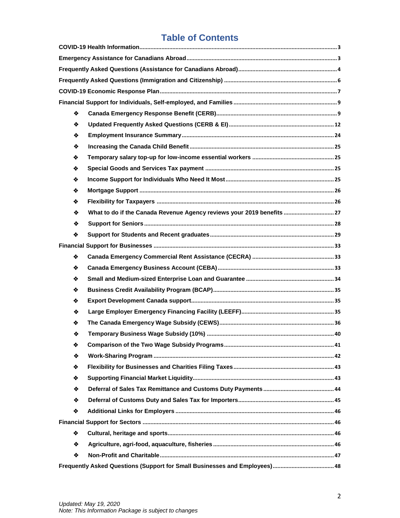## **Table of Contents**

| ❖ |                                                                       |  |  |
|---|-----------------------------------------------------------------------|--|--|
| ❖ |                                                                       |  |  |
| ❖ |                                                                       |  |  |
| ❖ |                                                                       |  |  |
| ❖ |                                                                       |  |  |
| ❖ |                                                                       |  |  |
| ❖ |                                                                       |  |  |
| ❖ |                                                                       |  |  |
| ❖ |                                                                       |  |  |
| ❖ | What to do if the Canada Revenue Agency reviews your 2019 benefits 27 |  |  |
| ❖ |                                                                       |  |  |
| ❖ |                                                                       |  |  |
|   |                                                                       |  |  |
| ❖ |                                                                       |  |  |
| ❖ |                                                                       |  |  |
| ❖ |                                                                       |  |  |
| ❖ |                                                                       |  |  |
| ❖ |                                                                       |  |  |
| ❖ |                                                                       |  |  |
| ❖ |                                                                       |  |  |
| ❖ |                                                                       |  |  |
| ❖ |                                                                       |  |  |
| ❖ |                                                                       |  |  |
| ❖ |                                                                       |  |  |
| ❖ |                                                                       |  |  |
| ❖ |                                                                       |  |  |
| ❖ |                                                                       |  |  |
| ❖ |                                                                       |  |  |
|   |                                                                       |  |  |
| ❖ |                                                                       |  |  |
| ❖ |                                                                       |  |  |
| ❖ |                                                                       |  |  |
|   |                                                                       |  |  |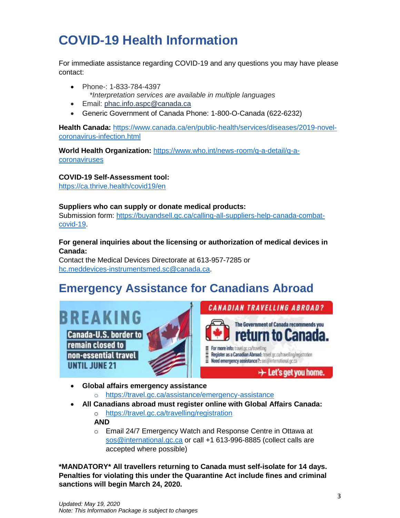## <span id="page-2-0"></span>**COVID-19 Health Information**

For immediate assistance regarding COVID-19 and any questions you may have please contact:

- Phone-: 1-833-784-4397 *\*Interpretation services are available in multiple languages*
- Email: [phac.info.aspc@canada.ca](mailto:phac.info.aspc@canada.ca)
- Generic Government of Canada Phone: 1-800-O-Canada (622-6232)

**Health Canada:** [https://www.canada.ca/en/public-health/services/diseases/2019-novel](https://www.canada.ca/en/public-health/services/diseases/2019-novel-coronavirus-infection.html)[coronavirus-infection.html](https://www.canada.ca/en/public-health/services/diseases/2019-novel-coronavirus-infection.html)

**World Health Organization:** [https://www.who.int/news-room/q-a-detail/q-a](https://www.who.int/news-room/q-a-detail/q-a-coronaviruses)[coronaviruses](https://www.who.int/news-room/q-a-detail/q-a-coronaviruses)

### **COVID-19 Self-Assessment tool:**

<https://ca.thrive.health/covid19/en>

#### **Suppliers who can supply or donate medical products:**

Submission form: [https://buyandsell.gc.ca/calling-all-suppliers-help-canada-combat](https://buyandsell.gc.ca/calling-all-suppliers-help-canada-combat-covid-19)[covid-19.](https://buyandsell.gc.ca/calling-all-suppliers-help-canada-combat-covid-19)

#### **For general inquiries about the licensing or authorization of medical devices in Canada:**

Contact the Medical Devices Directorate at 613-957-7285 or [hc.meddevices-instrumentsmed.sc@canada.ca.](mailto:hc.meddevices-instrumentsmed.sc@canada.ca)

## <span id="page-2-1"></span>**Emergency Assistance for Canadians Abroad**

BREAKING

**Canada-U.S. border to** remain closed to non-essential travel **UNTIL JUNE 21** 





- **Global affairs emergency assistance**
	- o <https://travel.gc.ca/assistance/emergency-assistance>
- **All Canadians abroad must register online with Global Affairs Canada:**

o <https://travel.gc.ca/travelling/registration> **AND**

o Email 24/7 Emergency Watch and Response Centre in Ottawa at [sos@international.gc.ca](mailto:sos@international.gc.ca) or call +1 613-996-8885 (collect calls are accepted where possible)

**\*MANDATORY\* All travellers returning to Canada must self-isolate for 14 days. Penalties for violating this under the Quarantine Act include fines and criminal sanctions will begin March 24, 2020.**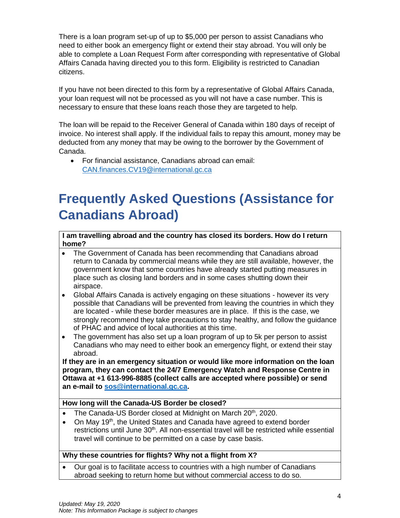There is a loan program set-up of up to \$5,000 per person to assist Canadians who need to either book an emergency flight or extend their stay abroad. You will only be able to complete a Loan Request Form after corresponding with representative of Global Affairs Canada having directed you to this form. Eligibility is restricted to Canadian citizens.

If you have not been directed to this form by a representative of Global Affairs Canada, your loan request will not be processed as you will not have a case number. This is necessary to ensure that these loans reach those they are targeted to help.

The loan will be repaid to the Receiver General of Canada within 180 days of receipt of invoice. No interest shall apply. If the individual fails to repay this amount, money may be deducted from any money that may be owing to the borrower by the Government of Canada.

• For financial assistance, Canadians abroad can email: [CAN.finances.CV19@international.gc.ca](mailto:CAN.finances.CV19@international.gc.ca)

## <span id="page-3-0"></span>**Frequently Asked Questions (Assistance for Canadians Abroad)**

**I am travelling abroad and the country has closed its borders. How do I return home?** 

- The Government of Canada has been recommending that Canadians abroad return to Canada by commercial means while they are still available, however, the government know that some countries have already started putting measures in place such as closing land borders and in some cases shutting down their airspace.
- Global Affairs Canada is actively engaging on these situations however its very possible that Canadians will be prevented from leaving the countries in which they are located - while these border measures are in place. If this is the case, we strongly recommend they take precautions to stay healthy, and follow the guidance of PHAC and advice of local authorities at this time.
- The government has also set up a loan program of up to 5k per person to assist Canadians who may need to either book an emergency flight, or extend their stay abroad.

**If they are in an emergency situation or would like more information on the loan program, they can contact the 24/7 Emergency Watch and Response Centre in Ottawa at +1 613-996-8885 (collect calls are accepted where possible) or send an e-mail to [sos@international.gc.ca.](mailto:sos@international.gc.ca)** 

#### **How long will the Canada-US Border be closed?**

- The Canada-US Border closed at Midnight on March 20<sup>th</sup>, 2020.
- On May 19<sup>th</sup>, the United States and Canada have agreed to extend border restrictions until June 30<sup>th</sup>. All non-essential travel will be restricted while essential travel will continue to be permitted on a case by case basis.

#### **Why these countries for flights? Why not a flight from X?**

• Our goal is to facilitate access to countries with a high number of Canadians abroad seeking to return home but without commercial access to do so.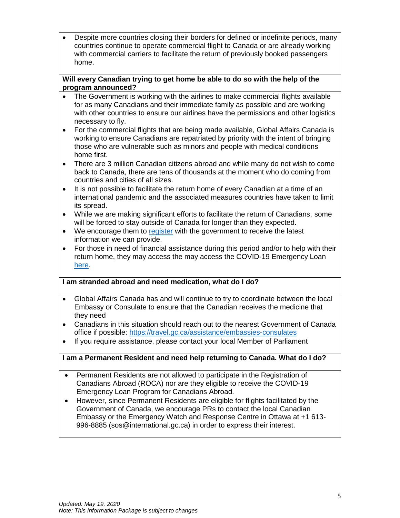• Despite more countries closing their borders for defined or indefinite periods, many countries continue to operate commercial flight to Canada or are already working with commercial carriers to facilitate the return of previously booked passengers home.

#### **Will every Canadian trying to get home be able to do so with the help of the program announced?**

- The Government is working with the airlines to make commercial flights available for as many Canadians and their immediate family as possible and are working with other countries to ensure our airlines have the permissions and other logistics necessary to fly.
- For the commercial flights that are being made available, Global Affairs Canada is working to ensure Canadians are repatriated by priority with the intent of bringing those who are vulnerable such as minors and people with medical conditions home first.
- There are 3 million Canadian citizens abroad and while many do not wish to come back to Canada, there are tens of thousands at the moment who do coming from countries and cities of all sizes.
- It is not possible to facilitate the return home of every Canadian at a time of an international pandemic and the associated measures countries have taken to limit its spread.
- While we are making significant efforts to facilitate the return of Canadians, some will be forced to stay outside of Canada for longer than they expected.
- We encourage them to [register](https://travel.gc.ca/travelling/registration) with the government to receive the latest information we can provide.
- For those in need of financial assistance during this period and/or to help with their return home, they may access the may access the COVID-19 Emergency Loan [here.](https://www.international.gc.ca/covid-19-loan-pret/form-formulaire.aspx?lang=eng)

#### **I am stranded abroad and need medication, what do I do?**

- Global Affairs Canada has and will continue to try to coordinate between the local Embassy or Consulate to ensure that the Canadian receives the medicine that they need
- Canadians in this situation should reach out to the nearest Government of Canada office if possible:<https://travel.gc.ca/assistance/embassies-consulates>
- If you require assistance, please contact your local Member of Parliament

#### **I am a Permanent Resident and need help returning to Canada. What do I do?**

- Permanent Residents are not allowed to participate in the Registration of Canadians Abroad (ROCA) nor are they eligible to receive the COVID-19 Emergency Loan Program for Canadians Abroad.
- <span id="page-4-0"></span>• However, since Permanent Residents are eligible for flights facilitated by the Government of Canada, we encourage PRs to contact the local Canadian Embassy or the Emergency Watch and Response Centre in Ottawa at +1 613- 996-8885 (sos@international.gc.ca) in order to express their interest.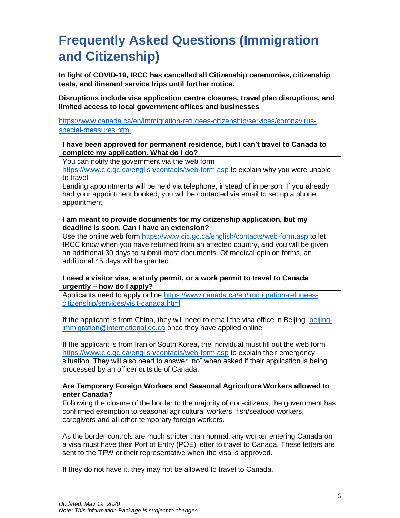## **Frequently Asked Questions (Immigration and Citizenship)**

**In light of COVID-19, IRCC has cancelled all Citizenship ceremonies, citizenship tests, and itinerant service trips until further notice.** 

**Disruptions include visa application centre closures, travel plan disruptions, and limited access to local government offices and businesses** 

[https://www.canada.ca/en/immigration-refugees-citizenship/services/coronavirus](https://www.canada.ca/en/immigration-refugees-citizenship/services/coronavirus-special-measures.html)[special-measures.html](https://www.canada.ca/en/immigration-refugees-citizenship/services/coronavirus-special-measures.html)

**I have been approved for permanent residence, but I can't travel to Canada to complete my application. What do I do?** 

You can notify the government via the web form

<https://www.cic.gc.ca/english/contacts/web-form.asp> to explain why you were unable to travel.

Landing appointments will be held via telephone, instead of in person. If you already had your appointment booked, you will be contacted via email to set up a phone appointment.

**I am meant to provide documents for my citizenship application, but my deadline is soon. Can I have an extension?** 

Use the online web form<https://www.cic.gc.ca/english/contacts/web-form.asp> to let IRCC know when you have returned from an affected country, and you will be given an additional 30 days to submit most documents. Of medical opinion forms, an additional 45 days will be granted.

**I need a visitor visa, a study permit, or a work permit to travel to Canada urgently – how do I apply?** 

Applicants need to apply online [https://www.canada.ca/en/immigration-refugees](https://www.canada.ca/en/immigration-refugees-citizenship/services/visit-canada.html)[citizenship/services/visit-canada.html](https://www.canada.ca/en/immigration-refugees-citizenship/services/visit-canada.html)

If the applicant is from China, they will need to email the visa office in Beijing [beijing](mailto:beijing-immigration@international.gc.ca)[immigration@international.gc.ca](mailto:beijing-immigration@international.gc.ca) once they have applied online

If the applicant is from Iran or South Korea, the individual must fill out the web form <https://www.cic.gc.ca/english/contacts/web-form.asp> to explain their emergency situation. They will also need to answer "no" when asked if their application is being processed by an officer outside of Canada.

**Are Temporary Foreign Workers and Seasonal Agriculture Workers allowed to enter Canada?**

Following the closure of the border to the majority of non-citizens, the government has confirmed exemption to seasonal agricultural workers, fish/seafood workers, caregivers and all other temporary foreign workers.

As the border controls are much stricter than normal, any worker entering Canada on a visa must have their Port of Entry (POE) letter to travel to Canada. These letters are sent to the TFW or their representative when the visa is approved.

If they do not have it, they may not be allowed to travel to Canada.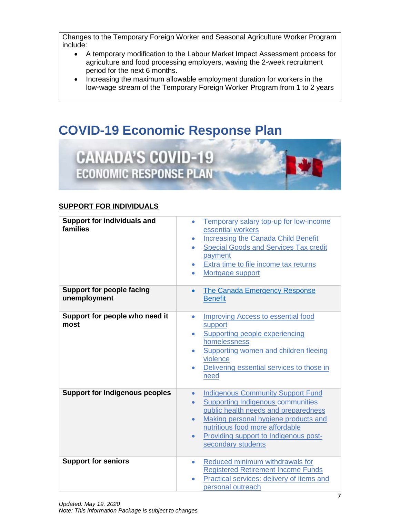Changes to the Temporary Foreign Worker and Seasonal Agriculture Worker Program include:

- A temporary modification to the Labour Market Impact Assessment process for agriculture and food processing employers, waving the 2-week recruitment period for the next 6 months.
- Increasing the maximum allowable employment duration for workers in the low-wage stream of the Temporary Foreign Worker Program from 1 to 2 years

## <span id="page-6-0"></span>**COVID-19 Economic Response Plan**



#### **SUPPORT FOR INDIVIDUALS**

| <b>Support for individuals and</b><br>families   | Temporary salary top-up for low-income<br>۰<br>essential workers<br><b>Increasing the Canada Child Benefit</b><br>$\bullet$<br><b>Special Goods and Services Tax credit</b><br>$\bullet$<br>payment<br>Extra time to file income tax returns<br>$\bullet$<br>Mortgage support<br>$\bullet$                                 |
|--------------------------------------------------|----------------------------------------------------------------------------------------------------------------------------------------------------------------------------------------------------------------------------------------------------------------------------------------------------------------------------|
| <b>Support for people facing</b><br>unemployment | The Canada Emergency Response<br>$\bullet$<br><b>Benefit</b>                                                                                                                                                                                                                                                               |
| Support for people who need it<br>most           | <b>Improving Access to essential food</b><br>$\bullet$<br>support<br><b>Supporting people experiencing</b><br>$\bullet$<br>homelessness<br><b>Supporting women and children fleeing</b><br>$\bullet$<br>violence<br>Delivering essential services to those in<br>$\bullet$<br>need                                         |
| <b>Support for Indigenous peoples</b>            | <b>Indigenous Community Support Fund</b><br>$\bullet$<br><b>Supporting Indigenous communities</b><br>$\bullet$<br>public health needs and preparedness<br>Making personal hygiene products and<br>$\bullet$<br>nutritious food more affordable<br>Providing support to Indigenous post-<br>$\bullet$<br>secondary students |
| <b>Support for seniors</b>                       | Reduced minimum withdrawals for<br>۰<br><b>Registered Retirement Income Funds</b><br>Practical services: delivery of items and<br>$\bullet$<br>personal outreach                                                                                                                                                           |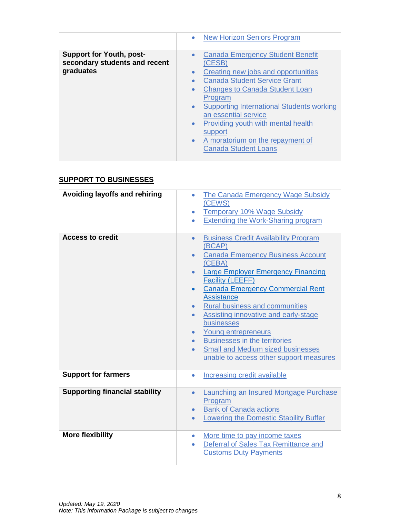|                                                                               | <b>New Horizon Seniors Program</b><br>$\bullet$                                                                                                                                                                                                                                                                                                                                                                                                                   |
|-------------------------------------------------------------------------------|-------------------------------------------------------------------------------------------------------------------------------------------------------------------------------------------------------------------------------------------------------------------------------------------------------------------------------------------------------------------------------------------------------------------------------------------------------------------|
| <b>Support for Youth, post-</b><br>secondary students and recent<br>graduates | <b>Canada Emergency Student Benefit</b><br>$\bullet$<br>(CESB)<br>Creating new jobs and opportunities<br>$\bullet$<br><b>Canada Student Service Grant</b><br><b>Changes to Canada Student Loan</b><br>$\bullet$<br>Program<br><b>Supporting International Students working</b><br>$\bullet$<br>an essential service<br>Providing youth with mental health<br>$\bullet$<br>support<br>A moratorium on the repayment of<br>$\bullet$<br><b>Canada Student Loans</b> |
|                                                                               |                                                                                                                                                                                                                                                                                                                                                                                                                                                                   |

### **SUPPORT TO BUSINESSES**

| <b>Avoiding layoffs and rehiring</b>  | The Canada Emergency Wage Subsidy<br>$\bullet$<br>(CEWS)<br><b>Temporary 10% Wage Subsidy</b><br>$\bullet$<br><b>Extending the Work-Sharing program</b><br>$\bullet$                                                                                                                                                                                                                                                                                                                                                                                                                                                    |
|---------------------------------------|-------------------------------------------------------------------------------------------------------------------------------------------------------------------------------------------------------------------------------------------------------------------------------------------------------------------------------------------------------------------------------------------------------------------------------------------------------------------------------------------------------------------------------------------------------------------------------------------------------------------------|
| <b>Access to credit</b>               | <b>Business Credit Availability Program</b><br>$\bullet$<br>(BCAP)<br><b>Canada Emergency Business Account</b><br>$\bullet$<br>(CEBA)<br><b>Large Employer Emergency Financing</b><br><b>Facility (LEEFF)</b><br><b>Canada Emergency Commercial Rent</b><br>$\bullet$<br><b>Assistance</b><br><b>Rural business and communities</b><br>$\bullet$<br><b>Assisting innovative and early-stage</b><br>$\bullet$<br>businesses<br>Young entrepreneurs<br>$\bullet$<br><b>Businesses in the territories</b><br>$\bullet$<br><b>Small and Medium sized businesses</b><br>$\bullet$<br>unable to access other support measures |
| <b>Support for farmers</b>            | <b>Increasing credit available</b><br>$\bullet$                                                                                                                                                                                                                                                                                                                                                                                                                                                                                                                                                                         |
| <b>Supporting financial stability</b> | Launching an Insured Mortgage Purchase<br>$\bullet$<br>Program<br><b>Bank of Canada actions</b><br>$\bullet$<br><b>Lowering the Domestic Stability Buffer</b><br>$\bullet$                                                                                                                                                                                                                                                                                                                                                                                                                                              |
| <b>More flexibility</b>               | More time to pay income taxes<br>$\bullet$<br>Deferral of Sales Tax Remittance and<br>$\bullet$<br><b>Customs Duty Payments</b>                                                                                                                                                                                                                                                                                                                                                                                                                                                                                         |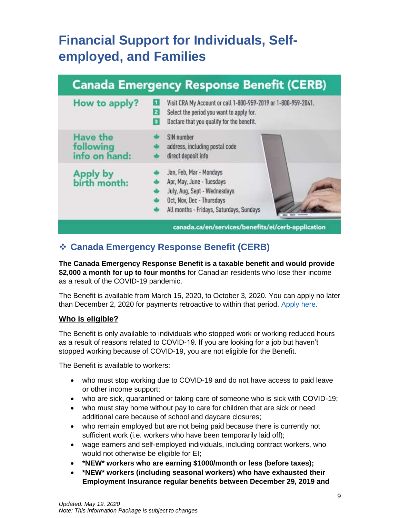## <span id="page-8-0"></span>**Financial Support for Individuals, Selfemployed, and Families**

| How to apply?                                 | Visit CRA My Account or call 1-800-959-2019 or 1-800-959-2041.<br>Œ<br>Select the period you want to apply for.<br>$\vert$ 2<br>Declare that you qualify for the benefit.<br>$\overline{\mathbf{3}}$ |
|-----------------------------------------------|------------------------------------------------------------------------------------------------------------------------------------------------------------------------------------------------------|
| <b>Have the</b><br>following<br>info on hand: | SIN number<br>address, including postal code<br>direct deposit info                                                                                                                                  |
| Apply by<br>birth month:                      | Jan, Feb, Mar - Mondays<br>Apr, May, June - Tuesdays<br>July, Aug, Sept - Wednesdays<br>Oct, Nov, Dec - Thursdays<br>All months - Fridays, Saturdays, Sundays                                        |

## <span id="page-8-1"></span>❖ **Canada Emergency Response Benefit (CERB)**

**The Canada Emergency Response Benefit is a taxable benefit and would provide \$2,000 a month for up to four months** for Canadian residents who lose their income as a result of the COVID-19 pandemic.

The Benefit is available from March 15, 2020, to October 3, 2020. You can apply no later than December 2, 2020 for payments retroactive to within that period. [Apply here.](https://www.canada.ca/en/services/benefits/ei/cerb-application.html)

#### **Who is eligible?**

The Benefit is only available to individuals who stopped work or working reduced hours as a result of reasons related to COVID-19. If you are looking for a job but haven't stopped working because of COVID-19, you are not eligible for the Benefit.

The Benefit is available to workers:

- who must stop working due to COVID-19 and do not have access to paid leave or other income support;
- who are sick, quarantined or taking care of someone who is sick with COVID-19;
- who must stay home without pay to care for children that are sick or need additional care because of school and daycare closures;
- who remain employed but are not being paid because there is currently not sufficient work (i.e. workers who have been temporarily laid off);
- wage earners and self-employed individuals, including contract workers, who would not otherwise be eligible for EI;
- **\*NEW\* workers who are earning \$1000/month or less (before taxes);**
- **\*NEW\* workers (including seasonal workers) who have exhausted their Employment Insurance regular benefits between December 29, 2019 and**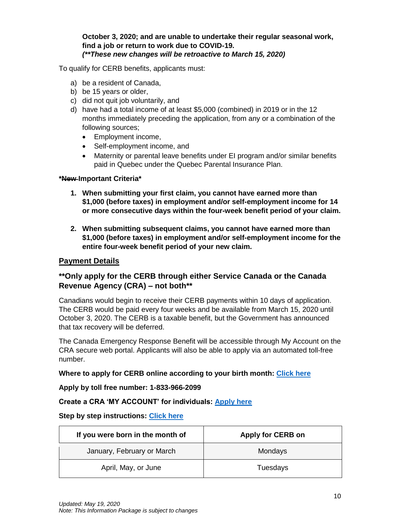#### **October 3, 2020; and are unable to undertake their regular seasonal work, find a job or return to work due to COVID-19.**  *(\*\*These new changes will be retroactive to March 15, 2020)*

To qualify for CERB benefits, applicants must:

- a) be a resident of Canada,
- b) be 15 years or older,
- c) did not quit job voluntarily, and
- d) have had a total income of at least \$5,000 (combined) in 2019 or in the 12 months immediately preceding the application, from any or a combination of the following sources;
	- Employment income,
	- Self-employment income, and
	- Maternity or parental leave benefits under EI program and/or similar benefits paid in Quebec under the Quebec Parental Insurance Plan.

#### **\*New Important Criteria\***

- **1. When submitting your first claim, you cannot have earned more than \$1,000 (before taxes) in employment and/or self-employment income for 14 or more consecutive days within the four-week benefit period of your claim.**
- **2. When submitting subsequent claims, you cannot have earned more than \$1,000 (before taxes) in employment and/or self-employment income for the entire four-week benefit period of your new claim.**

#### **Payment Details**

#### **\*\*Only apply for the CERB through either Service Canada or the Canada Revenue Agency (CRA) – not both\*\***

Canadians would begin to receive their CERB payments within 10 days of application. The CERB would be paid every four weeks and be available from March 15, 2020 until October 3, 2020. The CERB is a taxable benefit, but the Government has announced that tax recovery will be deferred.

The Canada Emergency Response Benefit will be accessible through My Account on the CRA secure web portal. Applicants will also be able to apply via an automated toll-free number.

#### **Where to apply for CERB online according to your birth month: [Click here](https://www.canada.ca/en/services/benefits/ei/cerb-application.html)**

**Apply by toll free number: 1-833-966-2099**

#### **Create a CRA 'MY ACCOUNT' for individuals: [Apply here](https://www.canada.ca/en/revenue-agency/services/e-services/e-services-individuals/account-individuals.html)**

#### **Step by step instructions: [Click here](https://www.canada.ca/en/revenue-agency/services/e-services/cra-login-services/cra-user-password-help-faqs/registration-process-access-cra-login-services.html#hlp1a)**

| If you were born in the month of | Apply for CERB on |
|----------------------------------|-------------------|
| January, February or March       | Mondays           |
| April, May, or June              | Tuesdays          |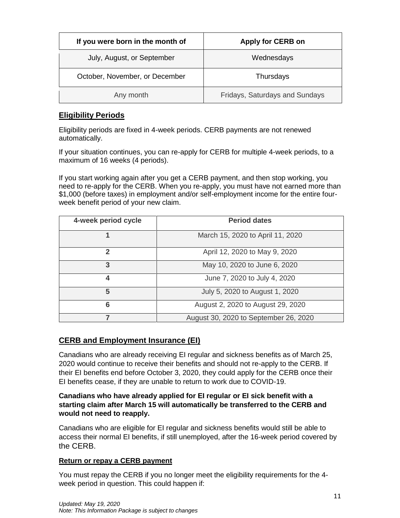| If you were born in the month of | <b>Apply for CERB on</b>       |
|----------------------------------|--------------------------------|
| July, August, or September       | Wednesdays                     |
| October, November, or December   | Thursdays                      |
| Any month                        | Fridays, Saturdays and Sundays |

#### **Eligibility Periods**

Eligibility periods are fixed in 4-week periods. CERB payments are not renewed automatically.

If your situation continues, you can re-apply for CERB for multiple 4-week periods, to a maximum of 16 weeks (4 periods).

If you start working again after you get a CERB payment, and then stop working, you need to re-apply for the CERB. When you re-apply, you must have not earned more than \$1,000 (before taxes) in employment and/or self-employment income for the entire fourweek benefit period of your new claim.

| 4-week period cycle | <b>Period dates</b>                   |
|---------------------|---------------------------------------|
|                     | March 15, 2020 to April 11, 2020      |
| $\mathbf{2}$        | April 12, 2020 to May 9, 2020         |
| 3                   | May 10, 2020 to June 6, 2020          |
| $\boldsymbol{4}$    | June 7, 2020 to July 4, 2020          |
| 5                   | July 5, 2020 to August 1, 2020        |
| 6                   | August 2, 2020 to August 29, 2020     |
|                     | August 30, 2020 to September 26, 2020 |

#### **CERB and Employment Insurance (EI)**

Canadians who are already receiving EI regular and sickness benefits as of March 25, 2020 would continue to receive their benefits and should not re-apply to the CERB. If their EI benefits end before October 3, 2020, they could apply for the CERB once their EI benefits cease, if they are unable to return to work due to COVID-19.

#### **Canadians who have already applied for EI regular or EI sick benefit with a starting claim after March 15 will automatically be transferred to the CERB and would not need to reapply.**

Canadians who are eligible for EI regular and sickness benefits would still be able to access their normal EI benefits, if still unemployed, after the 16-week period covered by the CERB.

#### **Return or repay a CERB payment**

You must repay the CERB if you no longer meet the eligibility requirements for the 4 week period in question. This could happen if: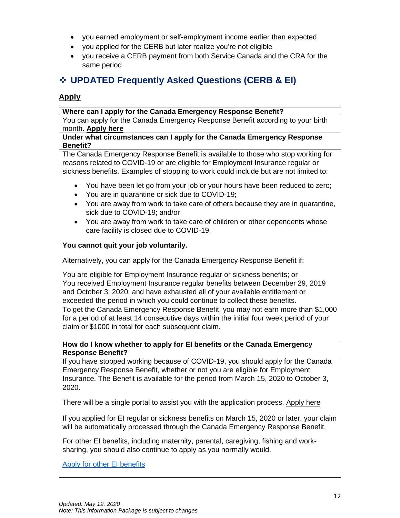- you earned employment or self-employment income earlier than expected
- you applied for the CERB but later realize you're not eligible
- you receive a CERB payment from both Service Canada and the CRA for the same period

## <span id="page-11-0"></span>❖ **UPDATED Frequently Asked Questions (CERB & EI)**

#### **Apply**

#### **Where can I apply for the Canada Emergency Response Benefit?**

You can apply for the Canada Emergency Response Benefit according to your birth month. **[Apply here](https://www.canada.ca/en/services/benefits/ei/cerb-application.html)**

#### **Under what circumstances can I apply for the Canada Emergency Response Benefit?**

The Canada Emergency Response Benefit is available to those who stop working for reasons related to COVID-19 or are eligible for Employment Insurance regular or sickness benefits. Examples of stopping to work could include but are not limited to:

- You have been let go from your job or your hours have been reduced to zero;
- You are in quarantine or sick due to COVID-19;
- You are away from work to take care of others because they are in quarantine, sick due to COVID-19; and/or
- You are away from work to take care of children or other dependents whose care facility is closed due to COVID-19.

#### **You cannot quit your job voluntarily.**

Alternatively, you can apply for the Canada Emergency Response Benefit if:

You are eligible for Employment Insurance regular or sickness benefits; or You received Employment Insurance regular benefits between December 29, 2019 and October 3, 2020; and have exhausted all of your available entitlement or exceeded the period in which you could continue to collect these benefits. To get the Canada Emergency Response Benefit, you may not earn more than \$1,000 for a period of at least 14 consecutive days within the initial four week period of your claim or \$1000 in total for each subsequent claim.

#### **How do I know whether to apply for EI benefits or the Canada Emergency Response Benefit?**

If you have stopped working because of COVID-19, you should apply for the Canada Emergency Response Benefit, whether or not you are eligible for Employment Insurance. The Benefit is available for the period from March 15, 2020 to October 3, 2020.

There will be a single portal to assist you with the application process. [Apply here](https://www.canada.ca/en/services/benefits/ei/cerb-application.html)

If you applied for EI regular or sickness benefits on March 15, 2020 or later, your claim will be automatically processed through the Canada Emergency Response Benefit.

For other EI benefits, including maternity, parental, caregiving, fishing and worksharing, you should also continue to apply as you normally would.

[Apply for other EI benefits](https://srv270.hrdc-drhc.gc.ca/AW/introduction?GoCTemplateCulture=en-CA)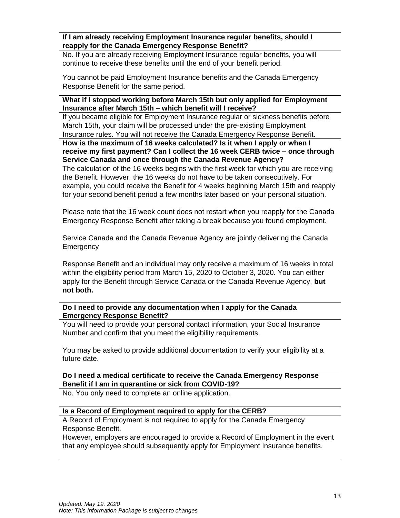**If I am already receiving Employment Insurance regular benefits, should I reapply for the Canada Emergency Response Benefit?**

No. If you are already receiving Employment Insurance regular benefits, you will continue to receive these benefits until the end of your benefit period.

You cannot be paid Employment Insurance benefits and the Canada Emergency Response Benefit for the same period.

**What if I stopped working before March 15th but only applied for Employment Insurance after March 15th – which benefit will I receive?**

If you became eligible for Employment Insurance regular or sickness benefits before March 15th, your claim will be processed under the pre-existing Employment Insurance rules. You will not receive the Canada Emergency Response Benefit.

**How is the maximum of 16 weeks calculated? Is it when I apply or when I receive my first payment? Can I collect the 16 week CERB twice – once through Service Canada and once through the Canada Revenue Agency?**

The calculation of the 16 weeks begins with the first week for which you are receiving the Benefit. However, the 16 weeks do not have to be taken consecutively. For example, you could receive the Benefit for 4 weeks beginning March 15th and reapply for your second benefit period a few months later based on your personal situation.

Please note that the 16 week count does not restart when you reapply for the Canada Emergency Response Benefit after taking a break because you found employment.

Service Canada and the Canada Revenue Agency are jointly delivering the Canada **Emergency** 

Response Benefit and an individual may only receive a maximum of 16 weeks in total within the eligibility period from March 15, 2020 to October 3, 2020. You can either apply for the Benefit through Service Canada or the Canada Revenue Agency, **but not both.**

#### **Do I need to provide any documentation when I apply for the Canada Emergency Response Benefit?**

You will need to provide your personal contact information, your Social Insurance Number and confirm that you meet the eligibility requirements.

You may be asked to provide additional documentation to verify your eligibility at a future date.

#### **Do I need a medical certificate to receive the Canada Emergency Response Benefit if I am in quarantine or sick from COVID-19?**

No. You only need to complete an online application.

#### **Is a Record of Employment required to apply for the CERB?**

A Record of Employment is not required to apply for the Canada Emergency Response Benefit.

However, employers are encouraged to provide a Record of Employment in the event that any employee should subsequently apply for Employment Insurance benefits.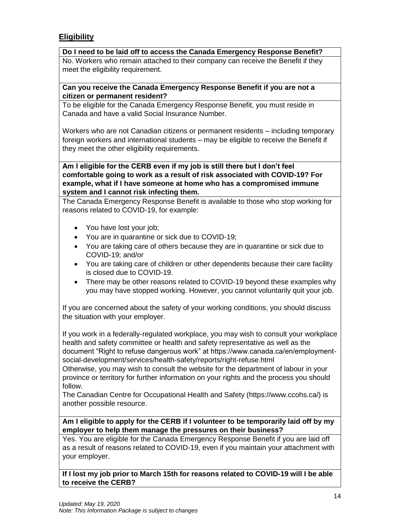#### **Eligibility**

**Do I need to be laid off to access the Canada Emergency Response Benefit?** No. Workers who remain attached to their company can receive the Benefit if they meet the eligibility requirement.

#### **Can you receive the Canada Emergency Response Benefit if you are not a citizen or permanent resident?**

To be eligible for the Canada Emergency Response Benefit, you must reside in Canada and have a valid Social Insurance Number.

Workers who are not Canadian citizens or permanent residents – including temporary foreign workers and international students – may be eligible to receive the Benefit if they meet the other eligibility requirements.

**Am I eligible for the CERB even if my job is still there but I don't feel comfortable going to work as a result of risk associated with COVID-19? For example, what if I have someone at home who has a compromised immune system and I cannot risk infecting them.**

The Canada Emergency Response Benefit is available to those who stop working for reasons related to COVID-19, for example:

- You have lost your job;
- You are in quarantine or sick due to COVID-19;
- You are taking care of others because they are in quarantine or sick due to COVID-19; and/or
- You are taking care of children or other dependents because their care facility is closed due to COVID-19.
- There may be other reasons related to COVID-19 beyond these examples why you may have stopped working. However, you cannot voluntarily quit your job.

If you are concerned about the safety of your working conditions, you should discuss the situation with your employer.

If you work in a federally-regulated workplace, you may wish to consult your workplace health and safety committee or health and safety representative as well as the

document "Right to refuse dangerous work" at https://www.canada.ca/en/employmentsocial-development/services/health-safety/reports/right-refuse.html

Otherwise, you may wish to consult the website for the department of labour in your province or territory for further information on your rights and the process you should follow.

The Canadian Centre for Occupational Health and Safety (https://www.ccohs.ca/) is another possible resource.

#### **Am I eligible to apply for the CERB if I volunteer to be temporarily laid off by my employer to help them manage the pressures on their business?**

Yes. You are eligible for the Canada Emergency Response Benefit if you are laid off as a result of reasons related to COVID-19, even if you maintain your attachment with your employer.

**If I lost my job prior to March 15th for reasons related to COVID-19 will I be able to receive the CERB?**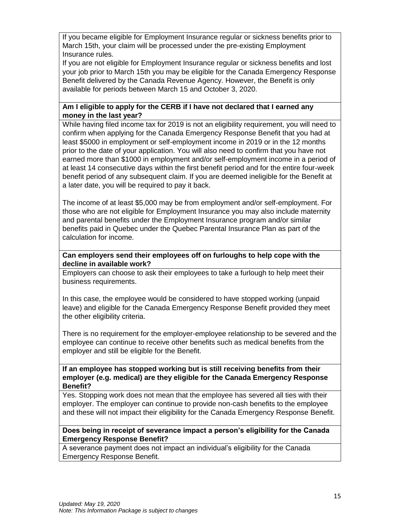If you became eligible for Employment Insurance regular or sickness benefits prior to March 15th, your claim will be processed under the pre-existing Employment Insurance rules.

If you are not eligible for Employment Insurance regular or sickness benefits and lost your job prior to March 15th you may be eligible for the Canada Emergency Response Benefit delivered by the Canada Revenue Agency. However, the Benefit is only available for periods between March 15 and October 3, 2020.

#### **Am I eligible to apply for the CERB if I have not declared that I earned any money in the last year?**

While having filed income tax for 2019 is not an eligibility requirement, you will need to confirm when applying for the Canada Emergency Response Benefit that you had at least \$5000 in employment or self-employment income in 2019 or in the 12 months prior to the date of your application. You will also need to confirm that you have not earned more than \$1000 in employment and/or self-employment income in a period of at least 14 consecutive days within the first benefit period and for the entire four-week benefit period of any subsequent claim. If you are deemed ineligible for the Benefit at a later date, you will be required to pay it back.

The income of at least \$5,000 may be from employment and/or self-employment. For those who are not eligible for Employment Insurance you may also include maternity and parental benefits under the Employment Insurance program and/or similar benefits paid in Quebec under the Quebec Parental Insurance Plan as part of the calculation for income.

#### **Can employers send their employees off on furloughs to help cope with the decline in available work?**

Employers can choose to ask their employees to take a furlough to help meet their business requirements.

In this case, the employee would be considered to have stopped working (unpaid leave) and eligible for the Canada Emergency Response Benefit provided they meet the other eligibility criteria.

There is no requirement for the employer-employee relationship to be severed and the employee can continue to receive other benefits such as medical benefits from the employer and still be eligible for the Benefit.

#### **If an employee has stopped working but is still receiving benefits from their employer (e.g. medical) are they eligible for the Canada Emergency Response Benefit?**

Yes. Stopping work does not mean that the employee has severed all ties with their employer. The employer can continue to provide non-cash benefits to the employee and these will not impact their eligibility for the Canada Emergency Response Benefit.

#### **Does being in receipt of severance impact a person's eligibility for the Canada Emergency Response Benefit?**

A severance payment does not impact an individual's eligibility for the Canada Emergency Response Benefit.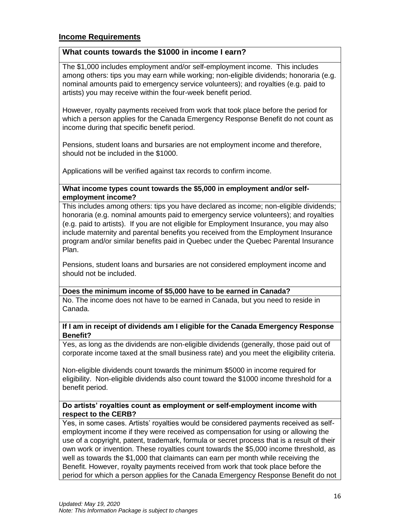#### **Income Requirements**

#### **What counts towards the \$1000 in income I earn?**

The \$1,000 includes employment and/or self-employment income. This includes among others: tips you may earn while working; non-eligible dividends; honoraria (e.g. nominal amounts paid to emergency service volunteers); and royalties (e.g. paid to artists) you may receive within the four-week benefit period.

However, royalty payments received from work that took place before the period for which a person applies for the Canada Emergency Response Benefit do not count as income during that specific benefit period.

Pensions, student loans and bursaries are not employment income and therefore, should not be included in the \$1000.

Applications will be verified against tax records to confirm income.

#### **What income types count towards the \$5,000 in employment and/or selfemployment income?**

This includes among others: tips you have declared as income; non-eligible dividends; honoraria (e.g. nominal amounts paid to emergency service volunteers); and royalties (e.g. paid to artists). If you are not eligible for Employment Insurance, you may also include maternity and parental benefits you received from the Employment Insurance program and/or similar benefits paid in Quebec under the Quebec Parental Insurance Plan.

Pensions, student loans and bursaries are not considered employment income and should not be included.

#### **Does the minimum income of \$5,000 have to be earned in Canada?**

No. The income does not have to be earned in Canada, but you need to reside in Canada.

#### **If I am in receipt of dividends am I eligible for the Canada Emergency Response Benefit?**

Yes, as long as the dividends are non-eligible dividends (generally, those paid out of corporate income taxed at the small business rate) and you meet the eligibility criteria.

Non-eligible dividends count towards the minimum \$5000 in income required for eligibility. Non-eligible dividends also count toward the \$1000 income threshold for a benefit period.

#### **Do artists' royalties count as employment or self-employment income with respect to the CERB?**

Yes, in some cases. Artists' royalties would be considered payments received as selfemployment income if they were received as compensation for using or allowing the use of a copyright, patent, trademark, formula or secret process that is a result of their own work or invention. These royalties count towards the \$5,000 income threshold, as well as towards the \$1,000 that claimants can earn per month while receiving the Benefit. However, royalty payments received from work that took place before the period for which a person applies for the Canada Emergency Response Benefit do not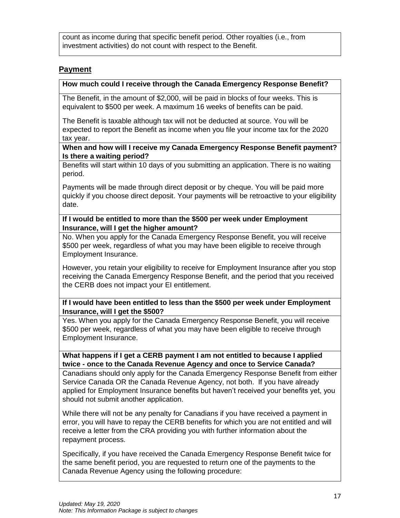count as income during that specific benefit period. Other royalties (i.e., from investment activities) do not count with respect to the Benefit.

#### **Payment**

#### **How much could I receive through the Canada Emergency Response Benefit?**

The Benefit, in the amount of \$2,000, will be paid in blocks of four weeks. This is equivalent to \$500 per week. A maximum 16 weeks of benefits can be paid.

The Benefit is taxable although tax will not be deducted at source. You will be expected to report the Benefit as income when you file your income tax for the 2020 tax year.

#### **When and how will I receive my Canada Emergency Response Benefit payment? Is there a waiting period?**

Benefits will start within 10 days of you submitting an application. There is no waiting period.

Payments will be made through direct deposit or by cheque. You will be paid more quickly if you choose direct deposit. Your payments will be retroactive to your eligibility date.

#### **If I would be entitled to more than the \$500 per week under Employment Insurance, will I get the higher amount?**

No. When you apply for the Canada Emergency Response Benefit, you will receive \$500 per week, regardless of what you may have been eligible to receive through Employment Insurance.

However, you retain your eligibility to receive for Employment Insurance after you stop receiving the Canada Emergency Response Benefit, and the period that you received the CERB does not impact your EI entitlement.

#### **If I would have been entitled to less than the \$500 per week under Employment Insurance, will I get the \$500?**

Yes. When you apply for the Canada Emergency Response Benefit, you will receive \$500 per week, regardless of what you may have been eligible to receive through Employment Insurance.

#### **What happens if I get a CERB payment I am not entitled to because I applied twice - once to the Canada Revenue Agency and once to Service Canada?**

Canadians should only apply for the Canada Emergency Response Benefit from either Service Canada OR the Canada Revenue Agency, not both. If you have already applied for Employment Insurance benefits but haven't received your benefits yet, you should not submit another application.

While there will not be any penalty for Canadians if you have received a payment in error, you will have to repay the CERB benefits for which you are not entitled and will receive a letter from the CRA providing you with further information about the repayment process.

Specifically, if you have received the Canada Emergency Response Benefit twice for the same benefit period, you are requested to return one of the payments to the Canada Revenue Agency using the following procedure: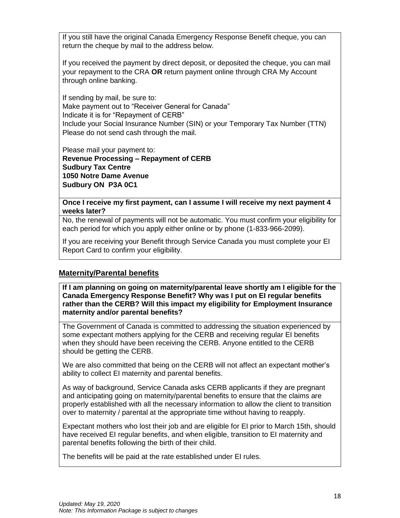If you still have the original Canada Emergency Response Benefit cheque, you can return the cheque by mail to the address below.

If you received the payment by direct deposit, or deposited the cheque, you can mail your repayment to the CRA **OR** return payment online through CRA My Account through online banking.

If sending by mail, be sure to: Make payment out to "Receiver General for Canada" Indicate it is for "Repayment of CERB" Include your Social Insurance Number (SIN) or your Temporary Tax Number (TTN) Please do not send cash through the mail.

Please mail your payment to: **Revenue Processing – Repayment of CERB Sudbury Tax Centre 1050 Notre Dame Avenue Sudbury ON P3A 0C1**

**Once I receive my first payment, can I assume I will receive my next payment 4 weeks later?**

No, the renewal of payments will not be automatic. You must confirm your eligibility for each period for which you apply either online or by phone (1-833-966-2099).

If you are receiving your Benefit through Service Canada you must complete your EI Report Card to confirm your eligibility.

#### **Maternity/Parental benefits**

**If I am planning on going on maternity/parental leave shortly am I eligible for the Canada Emergency Response Benefit? Why was I put on EI regular benefits rather than the CERB? Will this impact my eligibility for Employment Insurance maternity and/or parental benefits?**

The Government of Canada is committed to addressing the situation experienced by some expectant mothers applying for the CERB and receiving regular EI benefits when they should have been receiving the CERB. Anyone entitled to the CERB should be getting the CERB.

We are also committed that being on the CERB will not affect an expectant mother's ability to collect EI maternity and parental benefits.

As way of background, Service Canada asks CERB applicants if they are pregnant and anticipating going on maternity/parental benefits to ensure that the claims are properly established with all the necessary information to allow the client to transition over to maternity / parental at the appropriate time without having to reapply.

Expectant mothers who lost their job and are eligible for EI prior to March 15th, should have received EI regular benefits, and when eligible, transition to EI maternity and parental benefits following the birth of their child.

The benefits will be paid at the rate established under EI rules.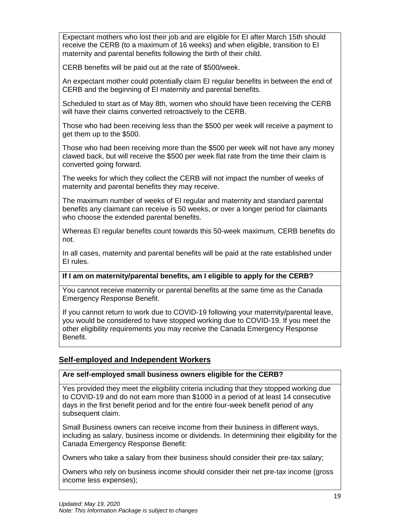Expectant mothers who lost their job and are eligible for EI after March 15th should receive the CERB (to a maximum of 16 weeks) and when eligible, transition to EI maternity and parental benefits following the birth of their child.

CERB benefits will be paid out at the rate of \$500/week.

An expectant mother could potentially claim EI regular benefits in between the end of CERB and the beginning of EI maternity and parental benefits.

Scheduled to start as of May 8th, women who should have been receiving the CERB will have their claims converted retroactively to the CERB.

Those who had been receiving less than the \$500 per week will receive a payment to get them up to the \$500.

Those who had been receiving more than the \$500 per week will not have any money clawed back, but will receive the \$500 per week flat rate from the time their claim is converted going forward.

The weeks for which they collect the CERB will not impact the number of weeks of maternity and parental benefits they may receive.

The maximum number of weeks of EI regular and maternity and standard parental benefits any claimant can receive is 50 weeks, or over a longer period for claimants who choose the extended parental benefits.

Whereas EI regular benefits count towards this 50-week maximum, CERB benefits do not.

In all cases, maternity and parental benefits will be paid at the rate established under EI rules.

#### **If I am on maternity/parental benefits, am I eligible to apply for the CERB?**

You cannot receive maternity or parental benefits at the same time as the Canada Emergency Response Benefit.

If you cannot return to work due to COVID-19 following your maternity/parental leave, you would be considered to have stopped working due to COVID-19. If you meet the other eligibility requirements you may receive the Canada Emergency Response Benefit.

#### **Self-employed and Independent Workers**

#### **Are self-employed small business owners eligible for the CERB?**

Yes provided they meet the eligibility criteria including that they stopped working due to COVID-19 and do not earn more than \$1000 in a period of at least 14 consecutive days in the first benefit period and for the entire four-week benefit period of any subsequent claim.

Small Business owners can receive income from their business in different ways, including as salary, business income or dividends. In determining their eligibility for the Canada Emergency Response Benefit:

Owners who take a salary from their business should consider their pre-tax salary;

Owners who rely on business income should consider their net pre-tax income (gross income less expenses);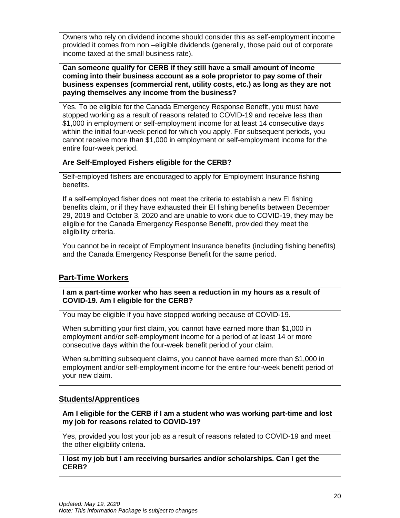Owners who rely on dividend income should consider this as self-employment income provided it comes from non –eligible dividends (generally, those paid out of corporate income taxed at the small business rate).

**Can someone qualify for CERB if they still have a small amount of income coming into their business account as a sole proprietor to pay some of their business expenses (commercial rent, utility costs, etc.) as long as they are not paying themselves any income from the business?**

Yes. To be eligible for the Canada Emergency Response Benefit, you must have stopped working as a result of reasons related to COVID-19 and receive less than \$1,000 in employment or self-employment income for at least 14 consecutive days within the initial four-week period for which you apply. For subsequent periods, you cannot receive more than \$1,000 in employment or self-employment income for the entire four-week period.

#### **Are Self-Employed Fishers eligible for the CERB?**

Self-employed fishers are encouraged to apply for Employment Insurance fishing benefits.

If a self-employed fisher does not meet the criteria to establish a new EI fishing benefits claim, or if they have exhausted their EI fishing benefits between December 29, 2019 and October 3, 2020 and are unable to work due to COVID-19, they may be eligible for the Canada Emergency Response Benefit, provided they meet the eligibility criteria.

You cannot be in receipt of Employment Insurance benefits (including fishing benefits) and the Canada Emergency Response Benefit for the same period.

#### **Part-Time Workers**

**I am a part-time worker who has seen a reduction in my hours as a result of COVID-19. Am I eligible for the CERB?**

You may be eligible if you have stopped working because of COVID-19.

When submitting your first claim, you cannot have earned more than \$1,000 in employment and/or self-employment income for a period of at least 14 or more consecutive days within the four-week benefit period of your claim.

When submitting subsequent claims, you cannot have earned more than \$1,000 in employment and/or self-employment income for the entire four-week benefit period of your new claim.

#### **Students/Apprentices**

**Am I eligible for the CERB if I am a student who was working part-time and lost my job for reasons related to COVID-19?**

Yes, provided you lost your job as a result of reasons related to COVID-19 and meet the other eligibility criteria.

**I lost my job but I am receiving bursaries and/or scholarships. Can I get the CERB?**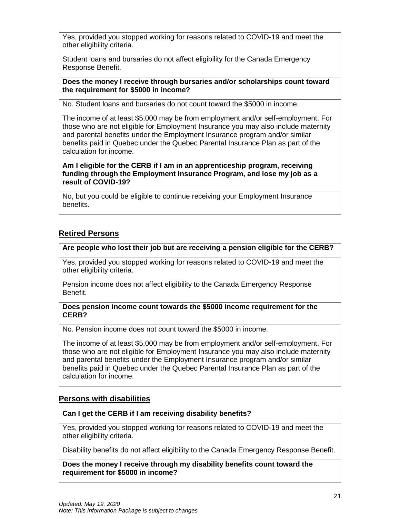Yes, provided you stopped working for reasons related to COVID-19 and meet the other eligibility criteria.

Student loans and bursaries do not affect eligibility for the Canada Emergency Response Benefit.

**Does the money I receive through bursaries and/or scholarships count toward the requirement for \$5000 in income?**

No. Student loans and bursaries do not count toward the \$5000 in income.

The income of at least \$5,000 may be from employment and/or self-employment. For those who are not eligible for Employment Insurance you may also include maternity and parental benefits under the Employment Insurance program and/or similar benefits paid in Quebec under the Quebec Parental Insurance Plan as part of the calculation for income.

**Am I eligible for the CERB if I am in an apprenticeship program, receiving funding through the Employment Insurance Program, and lose my job as a result of COVID-19?**

No, but you could be eligible to continue receiving your Employment Insurance benefits.

#### **Retired Persons**

#### **Are people who lost their job but are receiving a pension eligible for the CERB?**

Yes, provided you stopped working for reasons related to COVID-19 and meet the other eligibility criteria.

Pension income does not affect eligibility to the Canada Emergency Response Benefit.

**Does pension income count towards the \$5000 income requirement for the CERB?**

No. Pension income does not count toward the \$5000 in income.

The income of at least \$5,000 may be from employment and/or self-employment. For those who are not eligible for Employment Insurance you may also include maternity and parental benefits under the Employment Insurance program and/or similar benefits paid in Quebec under the Quebec Parental Insurance Plan as part of the calculation for income.

#### **Persons with disabilities**

#### **Can I get the CERB if I am receiving disability benefits?**

Yes, provided you stopped working for reasons related to COVID-19 and meet the other eligibility criteria.

Disability benefits do not affect eligibility to the Canada Emergency Response Benefit.

**Does the money I receive through my disability benefits count toward the requirement for \$5000 in income?**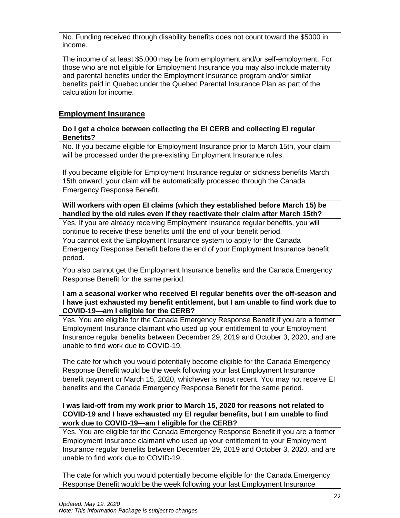No. Funding received through disability benefits does not count toward the \$5000 in income.

The income of at least \$5,000 may be from employment and/or self-employment. For those who are not eligible for Employment Insurance you may also include maternity and parental benefits under the Employment Insurance program and/or similar benefits paid in Quebec under the Quebec Parental Insurance Plan as part of the calculation for income.

#### **Employment Insurance**

#### **Do I get a choice between collecting the EI CERB and collecting EI regular Benefits?**

No. If you became eligible for Employment Insurance prior to March 15th, your claim will be processed under the pre-existing Employment Insurance rules.

If you became eligible for Employment Insurance regular or sickness benefits March 15th onward, your claim will be automatically processed through the Canada Emergency Response Benefit.

**Will workers with open EI claims (which they established before March 15) be handled by the old rules even if they reactivate their claim after March 15th?**

Yes. If you are already receiving Employment Insurance regular benefits, you will continue to receive these benefits until the end of your benefit period. You cannot exit the Employment Insurance system to apply for the Canada Emergency Response Benefit before the end of your Employment Insurance benefit period.

You also cannot get the Employment Insurance benefits and the Canada Emergency Response Benefit for the same period.

**I am a seasonal worker who received EI regular benefits over the off-season and I have just exhausted my benefit entitlement, but I am unable to find work due to COVID-19—am I eligible for the CERB?**

Yes. You are eligible for the Canada Emergency Response Benefit if you are a former Employment Insurance claimant who used up your entitlement to your Employment Insurance regular benefits between December 29, 2019 and October 3, 2020, and are unable to find work due to COVID-19.

The date for which you would potentially become eligible for the Canada Emergency Response Benefit would be the week following your last Employment Insurance benefit payment or March 15, 2020, whichever is most recent. You may not receive EI benefits and the Canada Emergency Response Benefit for the same period.

**I was laid-off from my work prior to March 15, 2020 for reasons not related to COVID-19 and I have exhausted my EI regular benefits, but I am unable to find work due to COVID-19—am I eligible for the CERB?**

Yes. You are eligible for the Canada Emergency Response Benefit if you are a former Employment Insurance claimant who used up your entitlement to your Employment Insurance regular benefits between December 29, 2019 and October 3, 2020, and are unable to find work due to COVID-19.

The date for which you would potentially become eligible for the Canada Emergency Response Benefit would be the week following your last Employment Insurance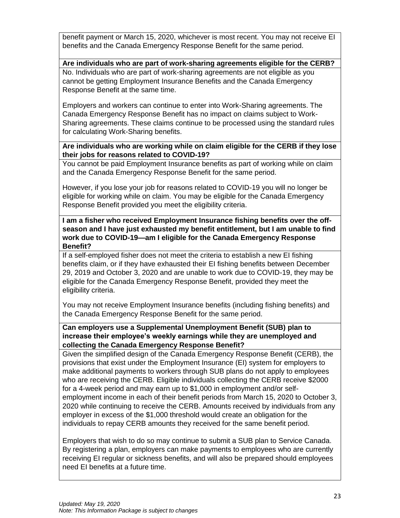benefit payment or March 15, 2020, whichever is most recent. You may not receive EI benefits and the Canada Emergency Response Benefit for the same period.

#### **Are individuals who are part of work-sharing agreements eligible for the CERB?**

No. Individuals who are part of work-sharing agreements are not eligible as you cannot be getting Employment Insurance Benefits and the Canada Emergency Response Benefit at the same time.

Employers and workers can continue to enter into Work-Sharing agreements. The Canada Emergency Response Benefit has no impact on claims subject to Work-Sharing agreements. These claims continue to be processed using the standard rules for calculating Work-Sharing benefits.

#### **Are individuals who are working while on claim eligible for the CERB if they lose their jobs for reasons related to COVID-19?**

You cannot be paid Employment Insurance benefits as part of working while on claim and the Canada Emergency Response Benefit for the same period.

However, if you lose your job for reasons related to COVID-19 you will no longer be eligible for working while on claim. You may be eligible for the Canada Emergency Response Benefit provided you meet the eligibility criteria.

#### **I am a fisher who received Employment Insurance fishing benefits over the offseason and I have just exhausted my benefit entitlement, but I am unable to find work due to COVID-19—am I eligible for the Canada Emergency Response Benefit?**

If a self-employed fisher does not meet the criteria to establish a new EI fishing benefits claim, or if they have exhausted their EI fishing benefits between December 29, 2019 and October 3, 2020 and are unable to work due to COVID-19, they may be eligible for the Canada Emergency Response Benefit, provided they meet the eligibility criteria.

You may not receive Employment Insurance benefits (including fishing benefits) and the Canada Emergency Response Benefit for the same period.

#### **Can employers use a Supplemental Unemployment Benefit (SUB) plan to increase their employee's weekly earnings while they are unemployed and collecting the Canada Emergency Response Benefit?**

Given the simplified design of the Canada Emergency Response Benefit (CERB), the provisions that exist under the Employment Insurance (EI) system for employers to make additional payments to workers through SUB plans do not apply to employees who are receiving the CERB. Eligible individuals collecting the CERB receive \$2000 for a 4-week period and may earn up to \$1,000 in employment and/or selfemployment income in each of their benefit periods from March 15, 2020 to October 3, 2020 while continuing to receive the CERB. Amounts received by individuals from any employer in excess of the \$1,000 threshold would create an obligation for the individuals to repay CERB amounts they received for the same benefit period.

Employers that wish to do so may continue to submit a SUB plan to Service Canada. By registering a plan, employers can make payments to employees who are currently receiving EI regular or sickness benefits, and will also be prepared should employees need EI benefits at a future time.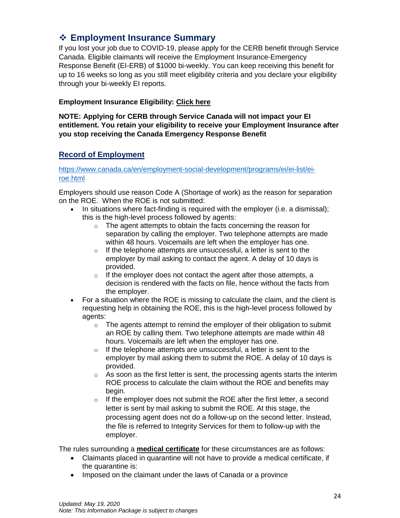## <span id="page-23-0"></span>❖ **Employment Insurance Summary**

If you lost your job due to COVID-19, please apply for the CERB benefit through Service Canada. Eligible claimants will receive the Employment Insurance-Emergency Response Benefit (EI-ERB) of \$1000 bi-weekly. You can keep receiving this benefit for up to 16 weeks so long as you still meet eligibility criteria and you declare your eligibility through your bi-weekly EI reports.

#### **Employment Insurance Eligibility: [Click here](https://www.canada.ca/en/services/benefits/ei/ei-regular-benefit/eligibility.html)**

**NOTE: Applying for CERB through Service Canada will not impact your EI entitlement. You retain your eligibility to receive your Employment Insurance after you stop receiving the Canada Emergency Response Benefit**

#### **Record of Employment**

[https://www.canada.ca/en/employment-social-development/programs/ei/ei-list/ei](https://www.canada.ca/en/employment-social-development/programs/ei/ei-list/ei-roe.html)[roe.html](https://www.canada.ca/en/employment-social-development/programs/ei/ei-list/ei-roe.html)

Employers should use reason Code A (Shortage of work) as the reason for separation on the ROE. When the ROE is not submitted:

- In situations where fact-finding is required with the employer (i.e. a dismissal); this is the high-level process followed by agents:
	- o The agent attempts to obtain the facts concerning the reason for separation by calling the employer. Two telephone attempts are made within 48 hours. Voicemails are left when the employer has one.
	- $\circ$  If the telephone attempts are unsuccessful, a letter is sent to the employer by mail asking to contact the agent. A delay of 10 days is provided.
	- $\circ$  If the employer does not contact the agent after those attempts, a decision is rendered with the facts on file, hence without the facts from the employer.
- For a situation where the ROE is missing to calculate the claim, and the client is requesting help in obtaining the ROE, this is the high-level process followed by agents:
	- $\circ$  The agents attempt to remind the employer of their obligation to submit an ROE by calling them. Two telephone attempts are made within 48 hours. Voicemails are left when the employer has one.
	- $\circ$  If the telephone attempts are unsuccessful, a letter is sent to the employer by mail asking them to submit the ROE. A delay of 10 days is provided.
	- $\circ$  As soon as the first letter is sent, the processing agents starts the interim ROE process to calculate the claim without the ROE and benefits may begin.
	- $\circ$  If the employer does not submit the ROE after the first letter, a second letter is sent by mail asking to submit the ROE. At this stage, the processing agent does not do a follow-up on the second letter. Instead, the file is referred to Integrity Services for them to follow-up with the employer.

The rules surrounding a **medical certificate** for these circumstances are as follows:

- Claimants placed in quarantine will not have to provide a medical certificate, if the quarantine is:
- Imposed on the claimant under the laws of Canada or a province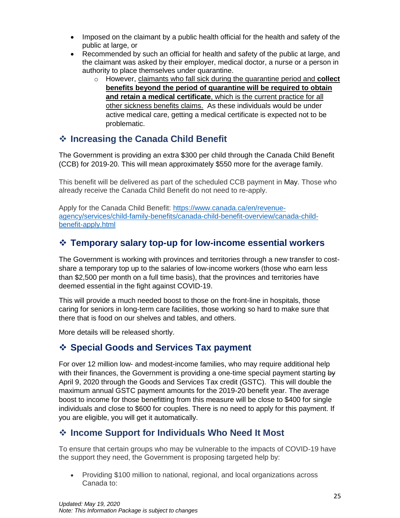- Imposed on the claimant by a public health official for the health and safety of the public at large, or
- Recommended by such an official for health and safety of the public at large, and the claimant was asked by their employer, medical doctor, a nurse or a person in authority to place themselves under quarantine.
	- o However, claimants who fall sick during the quarantine period and **collect benefits beyond the period of quarantine will be required to obtain and retain a medical certificate**, which is the current practice for all other sickness benefits claims. As these individuals would be under active medical care, getting a medical certificate is expected not to be problematic.

## <span id="page-24-0"></span>❖ **Increasing the Canada Child Benefit**

The Government is providing an extra \$300 per child through the Canada Child Benefit (CCB) for 2019-20. This will mean approximately \$550 more for the average family.

This benefit will be delivered as part of the scheduled CCB payment in May. Those who already receive the Canada Child Benefit do not need to re-apply.

Apply for the Canada Child Benefit: [https://www.canada.ca/en/revenue](https://www.canada.ca/en/revenue-agency/services/child-family-benefits/canada-child-benefit-overview/canada-child-benefit-apply.html)[agency/services/child-family-benefits/canada-child-benefit-overview/canada-child](https://www.canada.ca/en/revenue-agency/services/child-family-benefits/canada-child-benefit-overview/canada-child-benefit-apply.html)[benefit-apply.html](https://www.canada.ca/en/revenue-agency/services/child-family-benefits/canada-child-benefit-overview/canada-child-benefit-apply.html)

## <span id="page-24-1"></span>❖ **Temporary salary top-up for low-income essential workers**

The Government is working with provinces and territories through a new transfer to costshare a temporary top up to the salaries of low-income workers (those who earn less than \$2,500 per month on a full time basis), that the provinces and territories have deemed essential in the fight against COVID-19.

This will provide a much needed boost to those on the front-line in hospitals, those caring for seniors in long-term care facilities, those working so hard to make sure that there that is food on our shelves and tables, and others.

More details will be released shortly.

## <span id="page-24-2"></span>❖ **Special Goods and Services Tax payment**

For over 12 million low- and modest-income families, who may require additional help with their finances, the Government is providing a one-time special payment starting  $\mathbf{b}$ April 9, 2020 through the Goods and Services Tax credit (GSTC). This will double the maximum annual GSTC payment amounts for the 2019-20 benefit year. The average boost to income for those benefitting from this measure will be close to \$400 for single individuals and close to \$600 for couples. There is no need to apply for this payment. If you are eligible, you will get it automatically.

## <span id="page-24-3"></span>❖ **Income Support for Individuals Who Need It Most**

To ensure that certain groups who may be vulnerable to the impacts of COVID-19 have the support they need, the Government is proposing targeted help by:

• Providing \$100 million to national, regional, and local organizations across Canada to: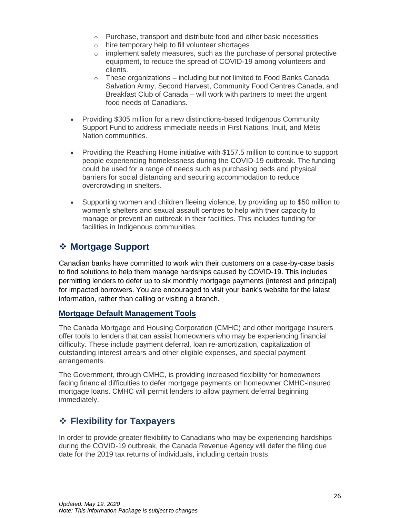- o Purchase, transport and distribute food and other basic necessities
- o hire temporary help to fill volunteer shortages
- $\circ$  implement safety measures, such as the purchase of personal protective equipment, to reduce the spread of COVID-19 among volunteers and clients.
- $\circ$  These organizations including but not limited to Food Banks Canada, Salvation Army, Second Harvest, Community Food Centres Canada, and Breakfast Club of Canada – will work with partners to meet the urgent food needs of Canadians.
- Providing \$305 million for a new distinctions-based Indigenous Community Support Fund to address immediate needs in First Nations, Inuit, and Métis Nation communities.
- Providing the Reaching Home initiative with \$157.5 million to continue to support people experiencing homelessness during the COVID-19 outbreak. The funding could be used for a range of needs such as purchasing beds and physical barriers for social distancing and securing accommodation to reduce overcrowding in shelters.
- Supporting women and children fleeing violence, by providing up to \$50 million to women's shelters and sexual assault centres to help with their capacity to manage or prevent an outbreak in their facilities. This includes funding for facilities in Indigenous communities.

## <span id="page-25-0"></span>❖ **Mortgage Support**

Canadian banks have committed to work with their customers on a case-by-case basis to find solutions to help them manage hardships caused by COVID-19. This includes permitting lenders to defer up to six monthly mortgage payments (interest and principal) for impacted borrowers. You are encouraged to visit your bank's website for the latest information, rather than calling or visiting a branch.

#### **Mortgage Default Management Tools**

The Canada Mortgage and Housing Corporation (CMHC) and other mortgage insurers offer tools to lenders that can assist homeowners who may be experiencing financial difficulty. These include payment deferral, loan re-amortization, capitalization of outstanding interest arrears and other eligible expenses, and special payment arrangements.

The Government, through CMHC, is providing increased flexibility for homeowners facing financial difficulties to defer mortgage payments on homeowner CMHC-insured mortgage loans. CMHC will permit lenders to allow payment deferral beginning immediately.

## <span id="page-25-1"></span>❖ **Flexibility for Taxpayers**

In order to provide greater flexibility to Canadians who may be experiencing hardships during the COVID-19 outbreak, the Canada Revenue Agency will defer the filing due date for the 2019 tax returns of individuals, including certain trusts.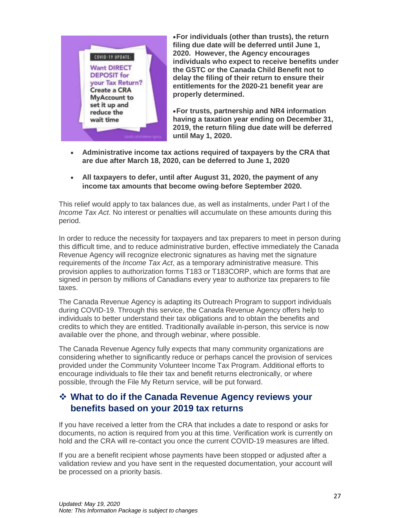

•**For individuals (other than trusts), the return filing due date will be deferred until June 1, 2020. However, the Agency encourages individuals who expect to receive benefits under the GSTC or the Canada Child Benefit not to delay the filing of their return to ensure their entitlements for the 2020-21 benefit year are properly determined.**

•**For trusts, partnership and NR4 information having a taxation year ending on December 31, 2019, the return filing due date will be deferred until May 1, 2020.**

- **Administrative income tax actions required of taxpayers by the CRA that are due after March 18, 2020, can be deferred to June 1, 2020**
- **All taxpayers to defer, until after August 31, 2020, the payment of any income tax amounts that become owing before September 2020.**

This relief would apply to tax balances due, as well as instalments, under Part I of the *Income Tax Act*. No interest or penalties will accumulate on these amounts during this period.

In order to reduce the necessity for taxpayers and tax preparers to meet in person during this difficult time, and to reduce administrative burden, effective immediately the Canada Revenue Agency will recognize electronic signatures as having met the signature requirements of the *Income Tax Act*, as a temporary administrative measure. This provision applies to authorization forms T183 or T183CORP, which are forms that are signed in person by millions of Canadians every year to authorize tax preparers to file taxes.

The Canada Revenue Agency is adapting its Outreach Program to support individuals during COVID-19. Through this service, the Canada Revenue Agency offers help to individuals to better understand their tax obligations and to obtain the benefits and credits to which they are entitled. Traditionally available in-person, this service is now available over the phone, and through webinar, where possible.

The Canada Revenue Agency fully expects that many community organizations are considering whether to significantly reduce or perhaps cancel the provision of services provided under the Community Volunteer Income Tax Program. Additional efforts to encourage individuals to file their tax and benefit returns electronically, or where possible, through the File My Return service, will be put forward.

### <span id="page-26-0"></span>❖ **What to do if the Canada Revenue Agency reviews your benefits based on your 2019 tax returns**

If you have received a letter from the CRA that includes a date to respond or asks for documents, no action is required from you at this time. Verification work is currently on hold and the CRA will re-contact you once the current COVID-19 measures are lifted.

If you are a benefit recipient whose payments have been stopped or adjusted after a validation review and you have sent in the requested documentation, your account will be processed on a priority basis.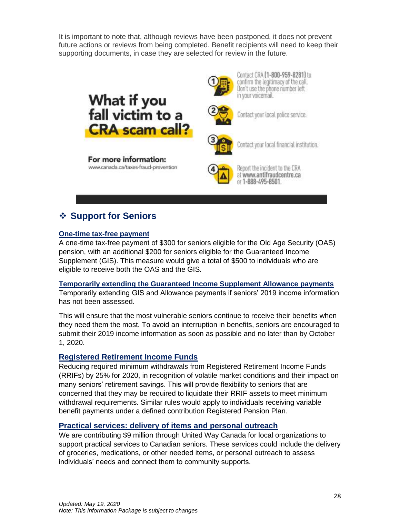It is important to note that, although reviews have been postponed, it does not prevent future actions or reviews from being completed. Benefit recipients will need to keep their supporting documents, in case they are selected for review in the future.







Contact CRA (1-800-959-8281) to confirm the legitimacy of the call. Don't use the phone number left in your voicemail.



Contact your local police service.



Contact your local financial institution.



Report the incident to the CRA at www.antifraudcentre.ca or 1-888-495-8501

## <span id="page-27-0"></span>❖ **Support for Seniors**

#### **One-time tax-free payment**

A one-time tax-free payment of \$300 for seniors eligible for the Old Age Security (OAS) pension, with an additional \$200 for seniors eligible for the Guaranteed Income Supplement (GIS). This measure would give a total of \$500 to individuals who are eligible to receive both the OAS and the GIS.

#### **Temporarily extending the Guaranteed Income Supplement Allowance payments**

Temporarily extending GIS and Allowance payments if seniors' 2019 income information has not been assessed.

This will ensure that the most vulnerable seniors continue to receive their benefits when they need them the most. To avoid an interruption in benefits, seniors are encouraged to submit their 2019 income information as soon as possible and no later than by October 1, 2020.

#### **Registered Retirement Income Funds**

Reducing required minimum withdrawals from Registered Retirement Income Funds (RRIFs) by 25% for 2020, in recognition of volatile market conditions and their impact on many seniors' retirement savings. This will provide flexibility to seniors that are concerned that they may be required to liquidate their RRIF assets to meet minimum withdrawal requirements. Similar rules would apply to individuals receiving variable benefit payments under a defined contribution Registered Pension Plan.

#### **Practical services: delivery of items and personal outreach**

We are contributing \$9 million through United Way Canada for local organizations to support practical services to Canadian seniors. These services could include the delivery of groceries, medications, or other needed items, or personal outreach to assess individuals' needs and connect them to community supports.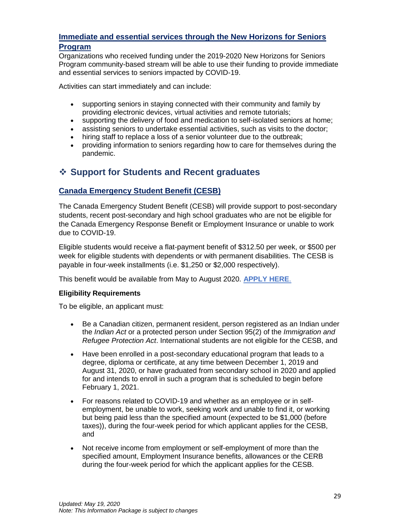#### **Immediate and essential services through the New Horizons for Seniors Program**

Organizations who received funding under the 2019-2020 New Horizons for Seniors Program community-based stream will be able to use their funding to provide immediate and essential services to seniors impacted by COVID-19.

Activities can start immediately and can include:

- supporting seniors in staying connected with their community and family by providing electronic devices, virtual activities and remote tutorials;
- supporting the delivery of food and medication to self-isolated seniors at home;
- assisting seniors to undertake essential activities, such as visits to the doctor;
- hiring staff to replace a loss of a senior volunteer due to the outbreak;
- providing information to seniors regarding how to care for themselves during the pandemic.

## <span id="page-28-0"></span>❖ **Support for Students and Recent graduates**

#### **Canada Emergency Student Benefit (CESB)**

The Canada Emergency Student Benefit (CESB) will provide support to post-secondary students, recent post-secondary and high school graduates who are not be eligible for the Canada Emergency Response Benefit or Employment Insurance or unable to work due to COVID-19.

Eligible students would receive a flat-payment benefit of \$312.50 per week, or \$500 per week for eligible students with dependents or with permanent disabilities. The CESB is payable in four-week installments (i.e. \$1,250 or \$2,000 respectively).

This benefit would be available from May to August 2020. **[APPLY HERE](https://www.canada.ca/en/revenue-agency/services/benefits/emergency-student-benefit.html)**.

#### **Eligibility Requirements**

To be eligible, an applicant must:

- Be a Canadian citizen, permanent resident, person registered as an Indian under the *Indian Act* or a protected person under Section 95(2) of the *Immigration and Refugee Protection Act*. International students are not eligible for the CESB, and
- Have been enrolled in a post-secondary educational program that leads to a degree, diploma or certificate, at any time between December 1, 2019 and August 31, 2020, or have graduated from secondary school in 2020 and applied for and intends to enroll in such a program that is scheduled to begin before February 1, 2021.
- For reasons related to COVID-19 and whether as an employee or in selfemployment, be unable to work, seeking work and unable to find it, or working but being paid less than the specified amount (expected to be \$1,000 (before taxes)), during the four-week period for which applicant applies for the CESB, and
- Not receive income from employment or self-employment of more than the specified amount, Employment Insurance benefits, allowances or the CERB during the four-week period for which the applicant applies for the CESB.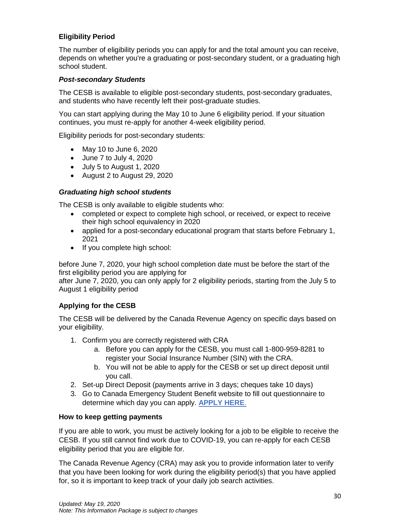#### **Eligibility Period**

The number of eligibility periods you can apply for and the total amount you can receive, depends on whether you're a graduating or post-secondary student, or a graduating high school student.

#### *Post-secondary Students*

The CESB is available to eligible post-secondary students, post-secondary graduates, and students who have recently left their post-graduate studies.

You can start applying during the May 10 to June 6 eligibility period. If your situation continues, you must re-apply for another 4-week eligibility period.

Eligibility periods for post-secondary students:

- May 10 to June 6, 2020
- June 7 to July 4, 2020
- July 5 to August 1, 2020
- August 2 to August 29, 2020

#### *Graduating high school students*

The CESB is only available to eligible students who:

- completed or expect to complete high school, or received, or expect to receive their high school equivalency in 2020
- applied for a post-secondary educational program that starts before February 1, 2021
- If you complete high school:

before June 7, 2020, your high school completion date must be before the start of the first eligibility period you are applying for

after June 7, 2020, you can only apply for 2 eligibility periods, starting from the July 5 to August 1 eligibility period

#### **Applying for the CESB**

The CESB will be delivered by the Canada Revenue Agency on specific days based on your eligibility.

- 1. Confirm you are correctly registered with CRA
	- a. Before you can apply for the CESB, you must call 1-800-959-8281 to register your Social Insurance Number (SIN) with the CRA.
	- b. You will not be able to apply for the CESB or set up direct deposit until you call.
- 2. Set-up Direct Deposit (payments arrive in 3 days; cheques take 10 days)
- 3. Go to Canada Emergency Student Benefit website to fill out questionnaire to determine which day you can apply. **[APPLY HERE](https://www.canada.ca/en/revenue-agency/services/benefits/emergency-student-benefit.html)**.

#### **How to keep getting payments**

If you are able to work, you must be actively looking for a job to be eligible to receive the CESB. If you still cannot find work due to COVID-19, you can re-apply for each CESB eligibility period that you are eligible for.

The Canada Revenue Agency (CRA) may ask you to provide information later to verify that you have been looking for work during the eligibility period(s) that you have applied for, so it is important to keep track of your daily job search activities.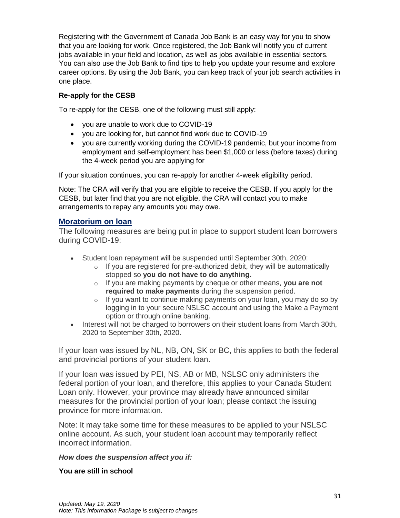Registering with the Government of Canada Job Bank is an easy way for you to show that you are looking for work. Once registered, the Job Bank will notify you of current jobs available in your field and location, as well as jobs available in essential sectors. You can also use the Job Bank to find tips to help you update your resume and explore career options. By using the Job Bank, you can keep track of your job search activities in one place.

#### **Re-apply for the CESB**

To re-apply for the CESB, one of the following must still apply:

- you are unable to work due to COVID-19
- you are looking for, but cannot find work due to COVID-19
- you are currently working during the COVID-19 pandemic, but your income from employment and self-employment has been \$1,000 or less (before taxes) during the 4-week period you are applying for

If your situation continues, you can re-apply for another 4-week eligibility period.

Note: The CRA will verify that you are eligible to receive the CESB. If you apply for the CESB, but later find that you are not eligible, the CRA will contact you to make arrangements to repay any amounts you may owe.

#### **Moratorium on loan**

The following measures are being put in place to support student loan borrowers during COVID-19:

- Student loan repayment will be suspended until September 30th, 2020:
	- $\circ$  If you are registered for pre-authorized debit, they will be automatically stopped so **you do not have to do anything.**
	- o If you are making payments by cheque or other means, **you are not required to make payments** during the suspension period.
	- $\circ$  If you want to continue making payments on your loan, you may do so by logging in to your secure NSLSC account and using the Make a Payment option or through online banking.
- Interest will not be charged to borrowers on their student loans from March 30th, 2020 to September 30th, 2020.

If your loan was issued by NL, NB, ON, SK or BC, this applies to both the federal and provincial portions of your student loan.

If your loan was issued by PEI, NS, AB or MB, NSLSC only administers the federal portion of your loan, and therefore, this applies to your Canada Student Loan only. However, your province may already have announced similar measures for the provincial portion of your loan; please contact the issuing province for more information.

Note: It may take some time for these measures to be applied to your NSLSC online account. As such, your student loan account may temporarily reflect incorrect information.

#### *How does the suspension affect you if:*

**You are still in school**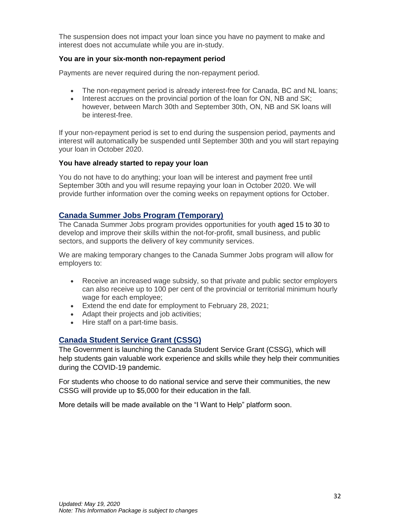The suspension does not impact your loan since you have no payment to make and interest does not accumulate while you are in-study.

#### **You are in your six-month non-repayment period**

Payments are never required during the non-repayment period.

- The non-repayment period is already interest-free for Canada, BC and NL loans;
- Interest accrues on the provincial portion of the loan for ON, NB and SK: however, between March 30th and September 30th, ON, NB and SK loans will be interest-free.

If your non-repayment period is set to end during the suspension period, payments and interest will automatically be suspended until September 30th and you will start repaying your loan in October 2020.

#### **You have already started to repay your loan**

You do not have to do anything; your loan will be interest and payment free until September 30th and you will resume repaying your loan in October 2020. We will provide further information over the coming weeks on repayment options for October.

#### **Canada Summer Jobs Program (Temporary)**

The Canada Summer Jobs program provides opportunities for youth aged 15 to 30 to develop and improve their skills within the not-for-profit, small business, and public sectors, and supports the delivery of key community services.

We are making temporary changes to the Canada Summer Jobs program will allow for employers to:

- Receive an increased wage subsidy, so that private and public sector employers can also receive up to 100 per cent of the provincial or territorial minimum hourly wage for each employee;
- Extend the end date for employment to February 28, 2021;
- Adapt their projects and job activities:
- Hire staff on a part-time basis.

#### **Canada Student Service Grant (CSSG)**

The Government is launching the Canada Student Service Grant (CSSG), which will help students gain valuable work experience and skills while they help their communities during the COVID-19 pandemic.

For students who choose to do national service and serve their communities, the new CSSG will provide up to \$5,000 for their education in the fall.

<span id="page-31-0"></span>More details will be made available on the "I Want to Help" platform soon.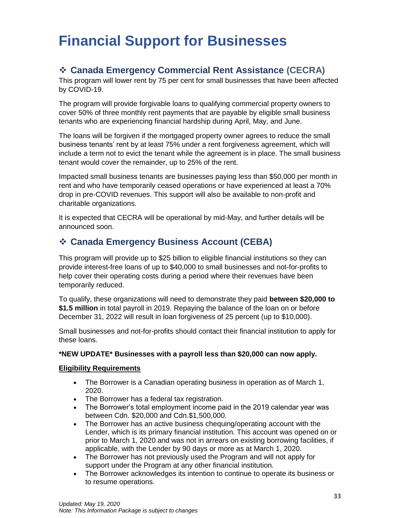## **Financial Support for Businesses**

## <span id="page-32-0"></span>❖ **Canada Emergency Commercial Rent Assistance (CECRA)**

This program will lower rent by 75 per cent for small businesses that have been affected by COVID-19.

The program will provide forgivable loans to qualifying commercial property owners to cover 50% of three monthly rent payments that are payable by eligible small business tenants who are experiencing financial hardship during April, May, and June.

The loans will be forgiven if the mortgaged property owner agrees to reduce the small business tenants' rent by at least 75% under a rent forgiveness agreement, which will include a term not to evict the tenant while the agreement is in place. The small business tenant would cover the remainder, up to 25% of the rent.

Impacted small business tenants are businesses paying less than \$50,000 per month in rent and who have temporarily ceased operations or have experienced at least a 70% drop in pre-COVID revenues. This support will also be available to non-profit and charitable organizations.

It is expected that CECRA will be operational by mid-May, and further details will be announced soon.

## <span id="page-32-1"></span>❖ **Canada Emergency Business Account (CEBA)**

This program will provide up to \$25 billion to eligible financial institutions so they can provide interest-free loans of up to \$40,000 to small businesses and not-for-profits to help cover their operating costs during a period where their revenues have been temporarily reduced.

To qualify, these organizations will need to demonstrate they paid **between \$20,000 to \$1.5 million** in total payroll in 2019. Repaying the balance of the loan on or before December 31, 2022 will result in loan forgiveness of 25 percent (up to \$10,000).

Small businesses and not-for-profits should contact their financial institution to apply for these loans.

#### **\*NEW UPDATE\* Businesses with a payroll less than \$20,000 can now apply.**

#### **Eligibility Requirements**

- The Borrower is a Canadian operating business in operation as of March 1, 2020.
- The Borrower has a federal tax registration.
- The Borrower's total employment income paid in the 2019 calendar year was between Cdn. \$20,000 and Cdn.\$1,500,000.
- The Borrower has an active business chequing/operating account with the Lender, which is its primary financial institution. This account was opened on or prior to March 1, 2020 and was not in arrears on existing borrowing facilities, if applicable, with the Lender by 90 days or more as at March 1, 2020.
- The Borrower has not previously used the Program and will not apply for support under the Program at any other financial institution.
- The Borrower acknowledges its intention to continue to operate its business or to resume operations.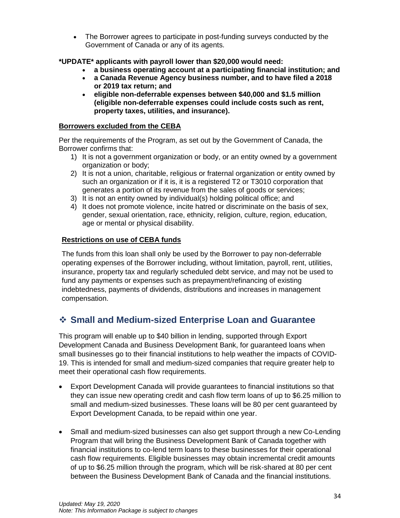• The Borrower agrees to participate in post-funding surveys conducted by the Government of Canada or any of its agents.

**\*UPDATE\* applicants with payroll lower than \$20,000 would need:**

- **a business operating account at a participating financial institution; and**
- **a Canada Revenue Agency business number, and to have filed a 2018 or 2019 tax return; and**
- **eligible non-deferrable expenses between \$40,000 and \$1.5 million (eligible non-deferrable expenses could include costs such as rent, property taxes, utilities, and insurance).**

#### **Borrowers excluded from the CEBA**

Per the requirements of the Program, as set out by the Government of Canada, the Borrower confirms that:

- 1) It is not a government organization or body, or an entity owned by a government organization or body;
- 2) It is not a union, charitable, religious or fraternal organization or entity owned by such an organization or if it is, it is a registered T2 or T3010 corporation that generates a portion of its revenue from the sales of goods or services;
- 3) It is not an entity owned by individual(s) holding political office; and
- 4) It does not promote violence, incite hatred or discriminate on the basis of sex, gender, sexual orientation, race, ethnicity, religion, culture, region, education, age or mental or physical disability.

#### **Restrictions on use of CEBA funds**

The funds from this loan shall only be used by the Borrower to pay non-deferrable operating expenses of the Borrower including, without limitation, payroll, rent, utilities, insurance, property tax and regularly scheduled debt service, and may not be used to fund any payments or expenses such as prepayment/refinancing of existing indebtedness, payments of dividends, distributions and increases in management compensation.

## <span id="page-33-0"></span>❖ **Small and Medium-sized Enterprise Loan and Guarantee**

This program will enable up to \$40 billion in lending, supported through Export Development Canada and Business Development Bank, for guaranteed loans when small businesses go to their financial institutions to help weather the impacts of COVID-19. This is intended for small and medium-sized companies that require greater help to meet their operational cash flow requirements.

- Export Development Canada will provide guarantees to financial institutions so that they can issue new operating credit and cash flow term loans of up to \$6.25 million to small and medium-sized businesses. These loans will be 80 per cent guaranteed by Export Development Canada, to be repaid within one year.
- Small and medium-sized businesses can also get support through a new Co-Lending Program that will bring the Business Development Bank of Canada together with financial institutions to co-lend term loans to these businesses for their operational cash flow requirements. Eligible businesses may obtain incremental credit amounts of up to \$6.25 million through the program, which will be risk-shared at 80 per cent between the Business Development Bank of Canada and the financial institutions.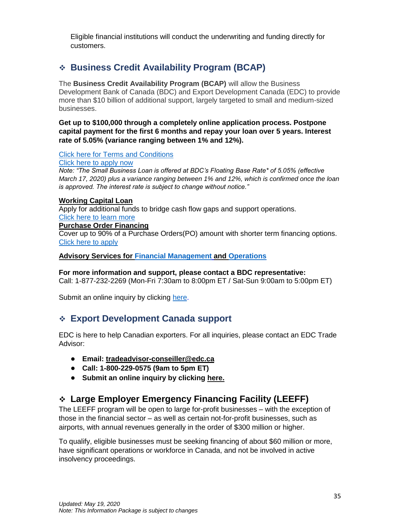Eligible financial institutions will conduct the underwriting and funding directly for customers.

## <span id="page-34-0"></span>❖ **Business Credit Availability Program (BCAP)**

The **Business Credit Availability Program (BCAP)** will allow the Business Development Bank of Canada (BDC) and Export Development Canada (EDC) to provide more than \$10 billion of additional support, largely targeted to small and medium-sized businesses.

**Get up to \$100,000 through a completely online application process. Postpone capital payment for the first 6 months and repay your loan over 5 years. Interest rate of 5.05% (variance ranging between 1% and 12%).**

Click [here for Terms and Conditions](https://www.bdc.ca/en/financing/pages/interest-rate-terms-conditions.aspx)

[Click here to apply now](https://www.bdc.ca/en/online_financing/pages/loan-application.aspx)

*Note: "The Small Business Loan is offered at BDC's Floating Base Rate\* of 5.05% (effective March 17, 2020) plus a variance ranging between 1% and 12%, which is confirmed once the loan is approved. The interest rate is subject to change without notice."*

#### **[Working Capital Loan](https://www.bdc.ca/en/financing/business-loans/working-capital-financing/pages/working-capital-loan.aspx)**

Apply for additional funds to bridge cash flow gaps and support operations. [Click here to learn more](https://www.bdc.ca/en/financing/business-loans/working-capital-financing/pages/working-capital-loan.aspx)

### **[Purchase Order Financing](https://www.bdc.ca/en/financing/business-loans/pages/purchase-order-financing.aspx)**

Cover up to 90% of a Purchase Orders(PO) amount with shorter term financing options. [Click here to apply](https://www.bdc.ca/en/financing/business-loans/pages/purchase-order-financing-form.aspx)

**Advisory Services for [Financial Management](https://www.bdc.ca/en/consulting/pages/financial-planning.aspx) and [Operations](https://www.bdc.ca/en/consulting/pages/optimize-processes-reduce-waste-consulting-form.aspx)**

**For more information and support, please contact a BDC representative:** 

Call: 1-877-232-2269 (Mon-Fri 7:30am to 8:00pm ET / Sat-Sun 9:00am to 5:00pm ET)

Submit an online inquiry by clicking [here.](https://www.bdc.ca/en/contact_us/pages/form-contact-us.aspx)

## <span id="page-34-1"></span>❖ **Export Development Canada support**

EDC is here to help Canadian exporters. For all inquiries, please contact an EDC Trade Advisor:

- **Email: [tradeadvisor-conseiller@edc.ca](mailto:tradeadvisor-conseiller@edc.ca)**
- **Call: 1-800-229-0575 (9am to 5pm ET)**
- **Submit an online inquiry by clicking [here.](https://www.edc.ca/en/form/inquiry.html)**

## <span id="page-34-2"></span>❖ **Large Employer Emergency Financing Facility (LEEFF)**

The LEEFF program will be open to large for-profit businesses – with the exception of those in the financial sector – as well as certain not-for-profit businesses, such as airports, with annual revenues generally in the order of \$300 million or higher.

To qualify, eligible businesses must be seeking financing of about \$60 million or more, have significant operations or workforce in Canada, and not be involved in active insolvency proceedings.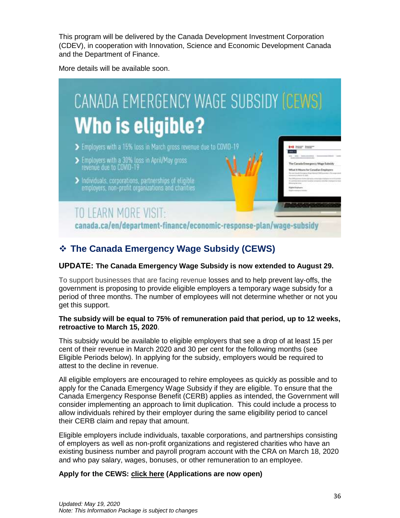This program will be delivered by the Canada Development Investment Corporation (CDEV), in cooperation with Innovation, Science and Economic Development Canada and the Department of Finance.

More details will be available soon.



## <span id="page-35-0"></span>❖ **The Canada Emergency Wage Subsidy (CEWS)**

#### **UPDATE: The Canada Emergency Wage Subsidy is now extended to August 29.**

To support businesses that are facing revenue losses and to help prevent lay-offs, the government is proposing to provide eligible employers a temporary wage subsidy for a period of three months. The number of employees will not determine whether or not you get this support.

#### **The subsidy will be equal to 75% of remuneration paid that period, up to 12 weeks, retroactive to March 15, 2020**.

This subsidy would be available to eligible employers that see a drop of at least 15 per cent of their revenue in March 2020 and 30 per cent for the following months (see Eligible Periods below). In applying for the subsidy, employers would be required to attest to the decline in revenue.

All eligible employers are encouraged to rehire employees as quickly as possible and to apply for the Canada Emergency Wage Subsidy if they are eligible. To ensure that the Canada Emergency Response Benefit (CERB) applies as intended, the Government will consider implementing an approach to limit duplication. This could include a process to allow individuals rehired by their employer during the same eligibility period to cancel their CERB claim and repay that amount.

Eligible employers include individuals, taxable corporations, and partnerships consisting of employers as well as non-profit organizations and registered charities who have an existing business number and payroll program account with the CRA on March 18, 2020 and who pay salary, wages, bonuses, or other remuneration to an employee.

#### **Apply for the CEWS: [click here](https://www.canada.ca/en/revenue-agency/services/subsidy/emergency-wage-subsidy/cews-how-apply.html) (Applications are now open)**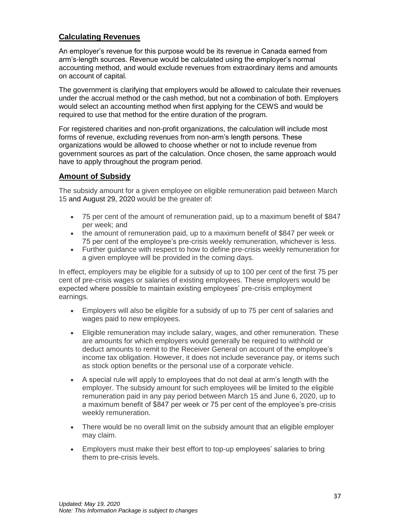#### **Calculating Revenues**

An employer's revenue for this purpose would be its revenue in Canada earned from arm's-length sources. Revenue would be calculated using the employer's normal accounting method, and would exclude revenues from extraordinary items and amounts on account of capital.

The government is clarifying that employers would be allowed to calculate their revenues under the accrual method or the cash method, but not a combination of both. Employers would select an accounting method when first applying for the CEWS and would be required to use that method for the entire duration of the program.

For registered charities and non-profit organizations, the calculation will include most forms of revenue, excluding revenues from non-arm's length persons. These organizations would be allowed to choose whether or not to include revenue from government sources as part of the calculation. Once chosen, the same approach would have to apply throughout the program period.

#### **Amount of Subsidy**

The subsidy amount for a given employee on eligible remuneration paid between March 15 and August 29, 2020 would be the greater of:

- 75 per cent of the amount of remuneration paid, up to a maximum benefit of \$847 per week; and
- the amount of remuneration paid, up to a maximum benefit of \$847 per week or 75 per cent of the employee's pre-crisis weekly remuneration, whichever is less.
- Further guidance with respect to how to define pre-crisis weekly remuneration for a given employee will be provided in the coming days.

In effect, employers may be eligible for a subsidy of up to 100 per cent of the first 75 per cent of pre-crisis wages or salaries of existing employees. These employers would be expected where possible to maintain existing employees' pre-crisis employment earnings.

- Employers will also be eligible for a subsidy of up to 75 per cent of salaries and wages paid to new employees.
- Eligible remuneration may include salary, wages, and other remuneration. These are amounts for which employers would generally be required to withhold or deduct amounts to remit to the Receiver General on account of the employee's income tax obligation. However, it does not include severance pay, or items such as stock option benefits or the personal use of a corporate vehicle.
- A special rule will apply to employees that do not deal at arm's length with the employer. The subsidy amount for such employees will be limited to the eligible remuneration paid in any pay period between March 15 and June 6, 2020, up to a maximum benefit of \$847 per week or 75 per cent of the employee's pre-crisis weekly remuneration.
- There would be no overall limit on the subsidy amount that an eligible employer may claim.
- Employers must make their best effort to top-up employees' salaries to bring them to pre-crisis levels.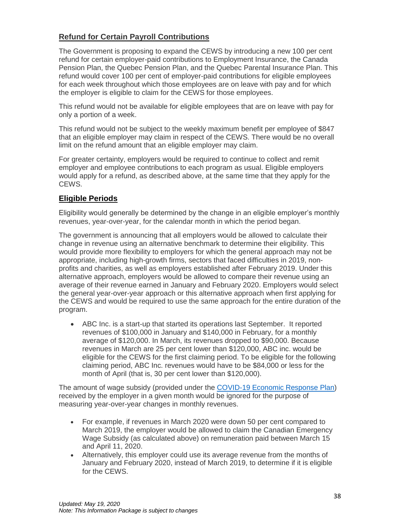### **Refund for Certain Payroll Contributions**

The Government is proposing to expand the CEWS by introducing a new 100 per cent refund for certain employer-paid contributions to Employment Insurance, the Canada Pension Plan, the Quebec Pension Plan, and the Quebec Parental Insurance Plan. This refund would cover 100 per cent of employer-paid contributions for eligible employees for each week throughout which those employees are on leave with pay and for which the employer is eligible to claim for the CEWS for those employees.

This refund would not be available for eligible employees that are on leave with pay for only a portion of a week.

This refund would not be subject to the weekly maximum benefit per employee of \$847 that an eligible employer may claim in respect of the CEWS. There would be no overall limit on the refund amount that an eligible employer may claim.

For greater certainty, employers would be required to continue to collect and remit employer and employee contributions to each program as usual. Eligible employers would apply for a refund, as described above, at the same time that they apply for the CEWS.

#### **Eligible Periods**

Eligibility would generally be determined by the change in an eligible employer's monthly revenues, year-over-year, for the calendar month in which the period began.

The government is announcing that all employers would be allowed to calculate their change in revenue using an alternative benchmark to determine their eligibility. This would provide more flexibility to employers for which the general approach may not be appropriate, including high-growth firms, sectors that faced difficulties in 2019, nonprofits and charities, as well as employers established after February 2019. Under this alternative approach, employers would be allowed to compare their revenue using an average of their revenue earned in January and February 2020. Employers would select the general year-over-year approach or this alternative approach when first applying for the CEWS and would be required to use the same approach for the entire duration of the program.

• ABC Inc. is a start-up that started its operations last September. It reported revenues of \$100,000 in January and \$140,000 in February, for a monthly average of \$120,000. In March, its revenues dropped to \$90,000. Because revenues in March are 25 per cent lower than \$120,000, ABC inc. would be eligible for the CEWS for the first claiming period. To be eligible for the following claiming period, ABC Inc. revenues would have to be \$84,000 or less for the month of April (that is, 30 per cent lower than \$120,000).

The amount of wage subsidy (provided under the [COVID-19 Economic Response Plan\)](https://www.canada.ca/en/department-finance/economic-response-plan.html) received by the employer in a given month would be ignored for the purpose of measuring year-over-year changes in monthly revenues.

- For example, if revenues in March 2020 were down 50 per cent compared to March 2019, the employer would be allowed to claim the Canadian Emergency Wage Subsidy (as calculated above) on remuneration paid between March 15 and April 11, 2020.
- Alternatively, this employer could use its average revenue from the months of January and February 2020, instead of March 2019, to determine if it is eligible for the CEWS.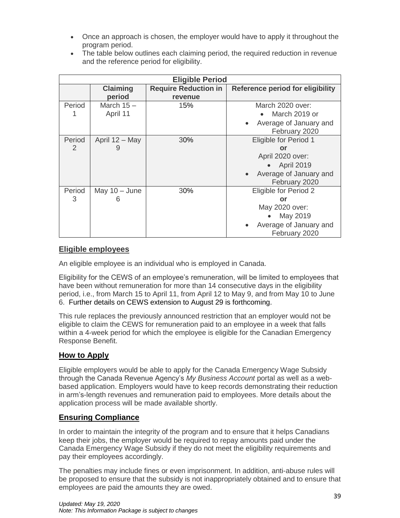- Once an approach is chosen, the employer would have to apply it throughout the program period.
- The table below outlines each claiming period, the required reduction in revenue and the reference period for eligibility.

| <b>Eligible Period</b>   |                           |                                        |                                                                                                                    |
|--------------------------|---------------------------|----------------------------------------|--------------------------------------------------------------------------------------------------------------------|
|                          | <b>Claiming</b><br>period | <b>Require Reduction in</b><br>revenue | <b>Reference period for eligibility</b>                                                                            |
| Period                   | March $15-$<br>April 11   | 15%                                    | March 2020 over:<br>March 2019 or<br>Average of January and<br>February 2020                                       |
| Period<br>$\overline{2}$ | April 12 - May<br>9       | 30%                                    | Eligible for Period 1<br>or<br>April 2020 over:<br>$\bullet$ April 2019<br>Average of January and<br>February 2020 |
| Period<br>3              | May $10 -$ June<br>h      | 30%                                    | Eligible for Period 2<br>or<br>May 2020 over:<br>May 2019<br>Average of January and<br>February 2020               |

#### **Eligible employees**

An eligible employee is an individual who is employed in Canada.

Eligibility for the CEWS of an employee's remuneration, will be limited to employees that have been without remuneration for more than 14 consecutive days in the eligibility period, i.e., from March 15 to April 11, from April 12 to May 9, and from May 10 to June 6. Further details on CEWS extension to August 29 is forthcoming.

This rule replaces the previously announced restriction that an employer would not be eligible to claim the CEWS for remuneration paid to an employee in a week that falls within a 4-week period for which the employee is eligible for the Canadian Emergency Response Benefit.

#### **How to Apply**

Eligible employers would be able to apply for the Canada Emergency Wage Subsidy through the Canada Revenue Agency's *My Business Account* portal as well as a webbased application. Employers would have to keep records demonstrating their reduction in arm's-length revenues and remuneration paid to employees. More details about the application process will be made available shortly.

#### **Ensuring Compliance**

In order to maintain the integrity of the program and to ensure that it helps Canadians keep their jobs, the employer would be required to repay amounts paid under the Canada Emergency Wage Subsidy if they do not meet the eligibility requirements and pay their employees accordingly.

The penalties may include fines or even imprisonment. In addition, anti-abuse rules will be proposed to ensure that the subsidy is not inappropriately obtained and to ensure that employees are paid the amounts they are owed.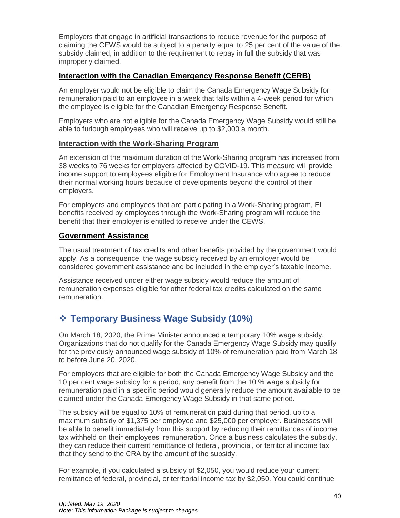Employers that engage in artificial transactions to reduce revenue for the purpose of claiming the CEWS would be subject to a penalty equal to 25 per cent of the value of the subsidy claimed, in addition to the requirement to repay in full the subsidy that was improperly claimed.

#### **Interaction with the Canadian Emergency Response Benefit (CERB)**

An employer would not be eligible to claim the Canada Emergency Wage Subsidy for remuneration paid to an employee in a week that falls within a 4-week period for which the employee is eligible for the Canadian Emergency Response Benefit.

Employers who are not eligible for the Canada Emergency Wage Subsidy would still be able to furlough employees who will receive up to \$2,000 a month.

#### **Interaction with the Work-Sharing Program**

An extension of the maximum duration of the Work-Sharing program has increased from 38 weeks to 76 weeks for employers affected by COVID-19. This measure will provide income support to employees eligible for Employment Insurance who agree to reduce their normal working hours because of developments beyond the control of their employers.

For employers and employees that are participating in a Work-Sharing program, EI benefits received by employees through the Work-Sharing program will reduce the benefit that their employer is entitled to receive under the CEWS.

#### **Government Assistance**

The usual treatment of tax credits and other benefits provided by the government would apply. As a consequence, the wage subsidy received by an employer would be considered government assistance and be included in the employer's taxable income.

Assistance received under either wage subsidy would reduce the amount of remuneration expenses eligible for other federal tax credits calculated on the same remuneration.

## <span id="page-39-0"></span>❖ **Temporary Business Wage Subsidy (10%)**

On March 18, 2020, the Prime Minister announced a temporary 10% wage subsidy. Organizations that do not qualify for the Canada Emergency Wage Subsidy may qualify for the previously announced wage subsidy of 10% of remuneration paid from March 18 to before June 20, 2020.

For employers that are eligible for both the Canada Emergency Wage Subsidy and the 10 per cent wage subsidy for a period, any benefit from the 10 % wage subsidy for remuneration paid in a specific period would generally reduce the amount available to be claimed under the Canada Emergency Wage Subsidy in that same period.

The subsidy will be equal to 10% of remuneration paid during that period, up to a maximum subsidy of \$1,375 per employee and \$25,000 per employer. Businesses will be able to benefit immediately from this support by reducing their remittances of income tax withheld on their employees' remuneration. Once a business calculates the subsidy, they can reduce their current remittance of federal, provincial, or territorial income tax that they send to the CRA by the amount of the subsidy.

For example, if you calculated a subsidy of \$2,050, you would reduce your current remittance of federal, provincial, or territorial income tax by \$2,050. You could continue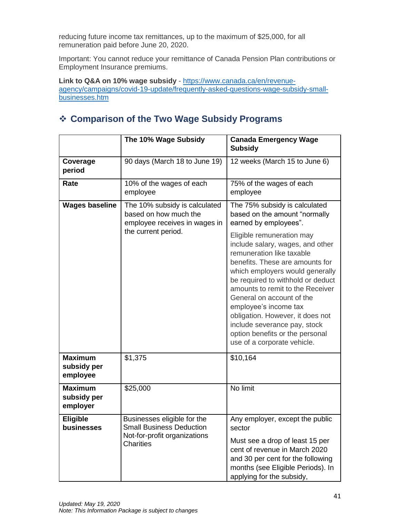reducing future income tax remittances, up to the maximum of \$25,000, for all remuneration paid before June 20, 2020.

Important: You cannot reduce your remittance of Canada Pension Plan contributions or Employment Insurance premiums.

**Link to Q&A on 10% wage subsidy** - [https://www.canada.ca/en/revenue](https://www.canada.ca/en/revenue-agency/campaigns/covid-19-update/frequently-asked-questions-wage-subsidy-small-businesses.htm)[agency/campaigns/covid-19-update/frequently-asked-questions-wage-subsidy-small](https://www.canada.ca/en/revenue-agency/campaigns/covid-19-update/frequently-asked-questions-wage-subsidy-small-businesses.htm)[businesses.htm](https://www.canada.ca/en/revenue-agency/campaigns/covid-19-update/frequently-asked-questions-wage-subsidy-small-businesses.htm)

## <span id="page-40-0"></span>❖ **Comparison of the Two Wage Subsidy Programs**

|                                           | The 10% Wage Subsidy                                                                                               | <b>Canada Emergency Wage</b><br><b>Subsidy</b>                                                                                                                                                                                                                                                                                                                                                                                        |
|-------------------------------------------|--------------------------------------------------------------------------------------------------------------------|---------------------------------------------------------------------------------------------------------------------------------------------------------------------------------------------------------------------------------------------------------------------------------------------------------------------------------------------------------------------------------------------------------------------------------------|
| Coverage<br>period                        | 90 days (March 18 to June 19)                                                                                      | 12 weeks (March 15 to June 6)                                                                                                                                                                                                                                                                                                                                                                                                         |
| Rate                                      | 10% of the wages of each<br>employee                                                                               | 75% of the wages of each<br>employee                                                                                                                                                                                                                                                                                                                                                                                                  |
| <b>Wages baseline</b>                     | The 10% subsidy is calculated<br>based on how much the<br>employee receives in wages in<br>the current period.     | The 75% subsidy is calculated<br>based on the amount "normally<br>earned by employees".                                                                                                                                                                                                                                                                                                                                               |
|                                           |                                                                                                                    | Eligible remuneration may<br>include salary, wages, and other<br>remuneration like taxable<br>benefits. These are amounts for<br>which employers would generally<br>be required to withhold or deduct<br>amounts to remit to the Receiver<br>General on account of the<br>employee's income tax<br>obligation. However, it does not<br>include severance pay, stock<br>option benefits or the personal<br>use of a corporate vehicle. |
| <b>Maximum</b><br>subsidy per<br>employee | \$1,375                                                                                                            | \$10,164                                                                                                                                                                                                                                                                                                                                                                                                                              |
| <b>Maximum</b><br>subsidy per<br>employer | \$25,000                                                                                                           | No limit                                                                                                                                                                                                                                                                                                                                                                                                                              |
| <b>Eligible</b><br>businesses             | Businesses eligible for the<br><b>Small Business Deduction</b><br>Not-for-profit organizations<br><b>Charities</b> | Any employer, except the public<br>sector                                                                                                                                                                                                                                                                                                                                                                                             |
|                                           |                                                                                                                    | Must see a drop of least 15 per<br>cent of revenue in March 2020<br>and 30 per cent for the following<br>months (see Eligible Periods). In<br>applying for the subsidy,                                                                                                                                                                                                                                                               |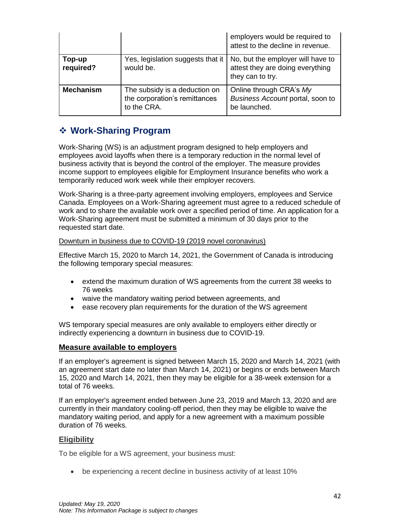|                     |                                                                               | employers would be required to<br>attest to the decline in revenue.                       |
|---------------------|-------------------------------------------------------------------------------|-------------------------------------------------------------------------------------------|
| Top-up<br>required? | Yes, legislation suggests that it<br>would be.                                | No, but the employer will have to<br>attest they are doing everything<br>they can to try. |
| <b>Mechanism</b>    | The subsidy is a deduction on<br>the corporation's remittances<br>to the CRA. | Online through CRA's My<br>Business Account portal, soon to<br>be launched.               |

## <span id="page-41-0"></span>❖ **[Work-Sharing Program](https://www.canada.ca/en/employment-social-development/services/work-sharing.html)**

Work-Sharing (WS) is an adjustment program designed to help employers and employees avoid layoffs when there is a temporary reduction in the normal level of business activity that is beyond the control of the employer. The measure provides income support to employees eligible for Employment Insurance benefits who work a temporarily reduced work week while their employer recovers.

Work-Sharing is a three-party agreement involving employers, employees and Service Canada. Employees on a Work-Sharing agreement must agree to a reduced schedule of work and to share the available work over a specified period of time. An application for a Work-Sharing agreement must be submitted a minimum of 30 days prior to the requested start date.

#### [Downturn in business due to COVID-19 \(2019 novel coronavirus\)](https://www.canada.ca/en/employment-social-development/services/work-sharing/guide-applicant.html)

Effective March 15, 2020 to March 14, 2021, the Government of Canada is introducing the following temporary special measures:

- extend the maximum duration of WS agreements from the current 38 weeks to 76 weeks
- waive the mandatory waiting period between agreements, and
- ease recovery plan requirements for the duration of the WS agreement

WS temporary special measures are only available to employers either directly or indirectly experiencing a downturn in business due to COVID-19.

#### **Measure available to employers**

If an employer's agreement is signed between March 15, 2020 and March 14, 2021 (with an agreement start date no later than March 14, 2021) or begins or ends between March 15, 2020 and March 14, 2021, then they may be eligible for a 38-week extension for a total of 76 weeks.

If an employer's agreement ended between June 23, 2019 and March 13, 2020 and are currently in their mandatory cooling-off period, then they may be eligible to waive the mandatory waiting period, and apply for a new agreement with a maximum possible duration of 76 weeks.

#### **Eligibility**

To be eligible for a WS agreement, your business must:

• be experiencing a recent decline in business activity of at least 10%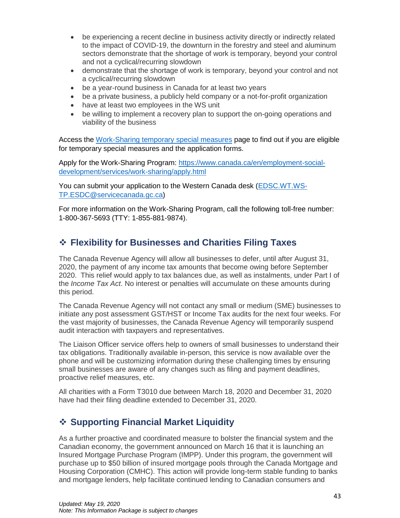- be experiencing a recent decline in business activity directly or indirectly related to the impact of COVID-19, the downturn in the forestry and steel and aluminum sectors demonstrate that the shortage of work is temporary, beyond your control and not a cyclical/recurring slowdown
- demonstrate that the shortage of work is temporary, beyond your control and not a cyclical/recurring slowdown
- be a year-round business in Canada for at least two years
- be a private business, a publicly held company or a not-for-profit organization
- have at least two employees in the WS unit
- be willing to implement a recovery plan to support the on-going operations and viability of the business

Access the [Work-Sharing temporary special measures](https://www.canada.ca/en/employment-social-development/services/work-sharing/temporary-measures-forestry-sector.html) page to find out if you are eligible for temporary special measures and the application forms.

Apply for the Work-Sharing Program: [https://www.canada.ca/en/employment-social](https://www.canada.ca/en/employment-social-development/services/work-sharing/apply.html)[development/services/work-sharing/apply.html](https://www.canada.ca/en/employment-social-development/services/work-sharing/apply.html)

You can submit your application to the Western Canada desk [\(EDSC.WT.WS-](mailto:EDSC.WT.WS-TP.ESDC@servicecanada.gc.ca)[TP.ESDC@servicecanada.gc.ca\)](mailto:EDSC.WT.WS-TP.ESDC@servicecanada.gc.ca)

For more information on the Work-Sharing Program, call the following toll-free number: 1-800-367-5693 (TTY: 1-855-881-9874).

## <span id="page-42-0"></span>❖ **Flexibility for Businesses and Charities Filing Taxes**

The Canada Revenue Agency will allow all businesses to defer, until after August 31, 2020, the payment of any income tax amounts that become owing before September 2020. This relief would apply to tax balances due, as well as instalments, under Part I of the *Income Tax Act*. No interest or penalties will accumulate on these amounts during this period.

The Canada Revenue Agency will not contact any small or medium (SME) businesses to initiate any post assessment GST/HST or Income Tax audits for the next four weeks. For the vast majority of businesses, the Canada Revenue Agency will temporarily suspend audit interaction with taxpayers and representatives.

The Liaison Officer service offers help to owners of small businesses to understand their tax obligations. Traditionally available in-person, this service is now available over the phone and will be customizing information during these challenging times by ensuring small businesses are aware of any changes such as filing and payment deadlines, proactive relief measures, etc.

All charities with a Form T3010 due between March 18, 2020 and December 31, 2020 have had their filing deadline extended to December 31, 2020.

## <span id="page-42-1"></span>❖ **Supporting Financial Market Liquidity**

As a further proactive and coordinated measure to bolster the financial system and the Canadian economy, the government announced on March 16 that it is launching an Insured Mortgage Purchase Program (IMPP). Under this program, the government will purchase up to \$50 billion of insured mortgage pools through the Canada Mortgage and Housing Corporation (CMHC). This action will provide long-term stable funding to banks and mortgage lenders, help facilitate continued lending to Canadian consumers and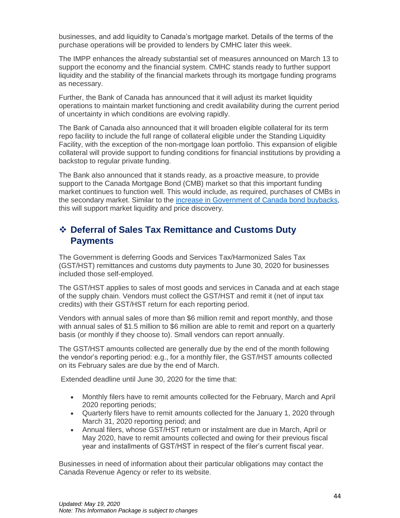businesses, and add liquidity to Canada's mortgage market. Details of the terms of the purchase operations will be provided to lenders by CMHC later this week.

The IMPP enhances the already substantial set of measures announced on March 13 to support the economy and the financial system. CMHC stands ready to further support liquidity and the stability of the financial markets through its mortgage funding programs as necessary.

Further, the Bank of Canada has announced that it will adjust its market liquidity operations to maintain market functioning and credit availability during the current period of uncertainty in which conditions are evolving rapidly.

The Bank of Canada also announced that it will broaden eligible collateral for its term repo facility to include the full range of collateral eligible under the Standing Liquidity Facility, with the exception of the non-mortgage loan portfolio. This expansion of eligible collateral will provide support to funding conditions for financial institutions by providing a backstop to regular private funding.

The Bank also announced that it stands ready, as a proactive measure, to provide support to the Canada Mortgage Bond (CMB) market so that this important funding market continues to function well. This would include, as required, purchases of CMBs in the secondary market. Similar to the [increase in Government of Canada bond buybacks,](https://www.bankofcanada.ca/2020/03/expansion-bond-buyback-term-repo/) this will support market liquidity and price discovery.

## <span id="page-43-0"></span>❖ **Deferral of Sales Tax Remittance and Customs Duty Payments**

The Government is deferring Goods and Services Tax/Harmonized Sales Tax (GST/HST) remittances and customs duty payments to June 30, 2020 for businesses included those self-employed.

The GST/HST applies to sales of most goods and services in Canada and at each stage of the supply chain. Vendors must collect the GST/HST and remit it (net of input tax credits) with their GST/HST return for each reporting period.

Vendors with annual sales of more than \$6 million remit and report monthly, and those with annual sales of \$1.5 million to \$6 million are able to remit and report on a quarterly basis (or monthly if they choose to). Small vendors can report annually.

The GST/HST amounts collected are generally due by the end of the month following the vendor's reporting period: e.g., for a monthly filer, the GST/HST amounts collected on its February sales are due by the end of March.

Extended deadline until June 30, 2020 for the time that:

- Monthly filers have to remit amounts collected for the February, March and April 2020 reporting periods;
- Quarterly filers have to remit amounts collected for the January 1, 2020 through March 31, 2020 reporting period; and
- Annual filers, whose GST/HST return or instalment are due in March, April or May 2020, have to remit amounts collected and owing for their previous fiscal year and installments of GST/HST in respect of the filer's current fiscal year.

Businesses in need of information about their particular obligations may contact the Canada Revenue Agency or refer to its website.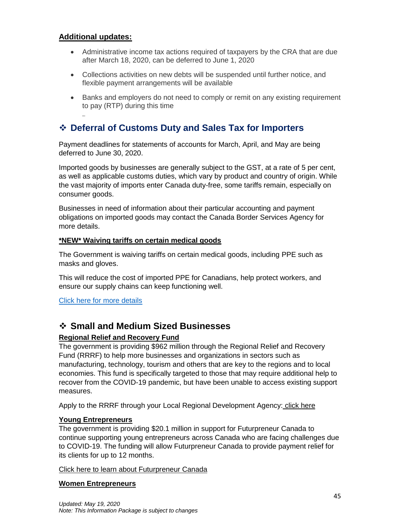#### **Additional updates:**

- Administrative income tax actions required of taxpayers by the CRA that are due after March 18, 2020, can be deferred to June 1, 2020
- Collections activities on new debts will be suspended until further notice, and flexible payment arrangements will be available
- Banks and employers do not need to comply or remit on any existing requirement to pay (RTP) during this time

## <span id="page-44-0"></span>❖ **Deferral of Customs Duty and Sales Tax for Importers**

Payment deadlines for statements of accounts for March, April, and May are being deferred to June 30, 2020.

Imported goods by businesses are generally subject to the GST, at a rate of 5 per cent, as well as applicable customs duties, which vary by product and country of origin. While the vast majority of imports enter Canada duty-free, some tariffs remain, especially on consumer goods.

Businesses in need of information about their particular accounting and payment obligations on imported goods may contact the Canada Border Services Agency for more details.

#### **\*NEW\* Waiving tariffs on certain medical goods**

The Government is waiving tariffs on certain medical goods, including PPE such as masks and gloves.

This will reduce the cost of imported PPE for Canadians, help protect workers, and ensure our supply chains can keep functioning well.

[Click here for more details](https://www.cbsa-asfc.gc.ca/publications/cn-ad/cn20-19-eng.html)

### ❖ **Small and Medium Sized Businesses**

#### **Regional Relief and Recovery Fund**

The government is providing \$962 million through the Regional Relief and Recovery Fund (RRRF) to help more businesses and organizations in sectors such as manufacturing, technology, tourism and others that are key to the regions and to local economies. This fund is specifically targeted to those that may require additional help to recover from the COVID-19 pandemic, but have been unable to access existing support measures.

Apply to the RRRF through your Local Regional Development Agency: [click here](https://www.ic.gc.ca/eic/site/icgc.nsf/eng/h_07662.html)

#### **Young Entrepreneurs**

The government is providing \$20.1 million in support for Futurpreneur Canada to continue supporting young entrepreneurs across Canada who are facing challenges due to COVID-19. The funding will allow Futurpreneur Canada to provide payment relief for its clients for up to 12 months.

[Click here to learn about Futurpreneur Canada](https://www.futurpreneur.ca/en/)

#### **Women Entrepreneurs**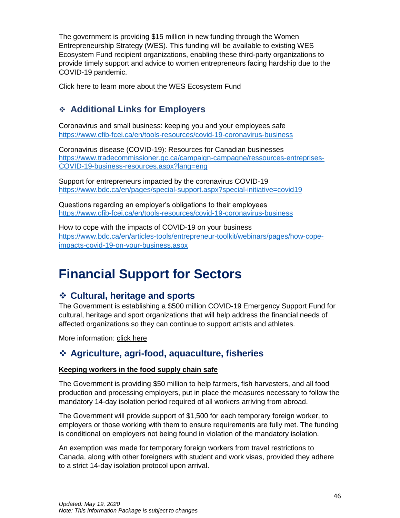The government is providing \$15 million in new funding through the Women Entrepreneurship Strategy (WES). This funding will be available to existing WES Ecosystem Fund recipient organizations, enabling these third-party organizations to provide timely support and advice to women entrepreneurs facing hardship due to the COVID-19 pandemic.

Click here to learn more about the WES Ecosystem Fund

## <span id="page-45-0"></span>❖ **Additional Links for Employers**

Coronavirus and small business: keeping you and your employees safe <https://www.cfib-fcei.ca/en/tools-resources/covid-19-coronavirus-business>

Coronavirus disease (COVID-19): Resources for Canadian businesses [https://www.tradecommissioner.gc.ca/campaign-campagne/ressources-entreprises-](https://www.tradecommissioner.gc.ca/campaign-campagne/ressources-entreprises-COVID-19-business-resources.aspx?lang=eng)[COVID-19-business-resources.aspx?lang=eng](https://www.tradecommissioner.gc.ca/campaign-campagne/ressources-entreprises-COVID-19-business-resources.aspx?lang=eng)

Support for entrepreneurs impacted by the coronavirus COVID-19 <https://www.bdc.ca/en/pages/special-support.aspx?special-initiative=covid19>

Questions regarding an employer's obligations to their employees <https://www.cfib-fcei.ca/en/tools-resources/covid-19-coronavirus-business>

How to cope with the impacts of COVID-19 on your business [https://www.bdc.ca/en/articles-tools/entrepreneur-toolkit/webinars/pages/how-cope](https://www.bdc.ca/en/articles-tools/entrepreneur-toolkit/webinars/pages/how-cope-impacts-covid-19-on-your-business.aspx)[impacts-covid-19-on-your-business.aspx](https://www.bdc.ca/en/articles-tools/entrepreneur-toolkit/webinars/pages/how-cope-impacts-covid-19-on-your-business.aspx)

## <span id="page-45-1"></span>**Financial Support for Sectors**

### <span id="page-45-2"></span>❖ **Cultural, heritage and sports**

The Government is establishing a \$500 million COVID-19 Emergency Support Fund for cultural, heritage and sport organizations that will help address the financial needs of affected organizations so they can continue to support artists and athletes.

More information: [click here](https://www.canada.ca/en/canadian-heritage/services/funding/information-covid-19.html)

### <span id="page-45-3"></span>❖ **Agriculture, agri-food, aquaculture, fisheries**

#### **Keeping workers in the food supply chain safe**

The Government is providing \$50 million to help farmers, fish harvesters, and all food production and processing employers, put in place the measures necessary to follow the mandatory 14-day isolation period required of all workers arriving from abroad.

The Government will provide support of \$1,500 for each temporary foreign worker, to employers or those working with them to ensure requirements are fully met. The funding is conditional on employers not being found in violation of the mandatory isolation.

An exemption was made for temporary foreign workers from travel restrictions to Canada, along with other foreigners with student and work visas, provided they adhere to a strict 14-day isolation protocol upon arrival.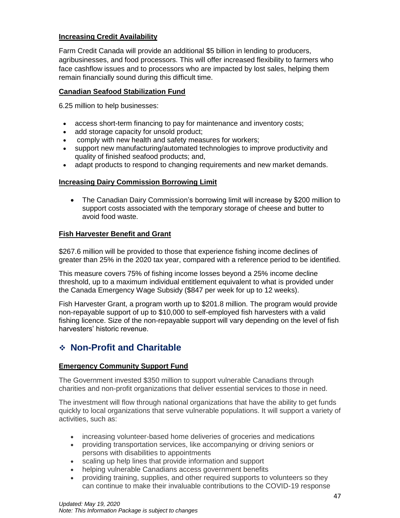#### **Increasing Credit Availability**

Farm Credit Canada will provide an additional \$5 billion in lending to producers, agribusinesses, and food processors. This will offer increased flexibility to farmers who face cashflow issues and to processors who are impacted by lost sales, helping them remain financially sound during this difficult time.

#### **Canadian Seafood Stabilization Fund**

6.25 million to help businesses:

- access short-term financing to pay for maintenance and inventory costs;
- add storage capacity for unsold product;
- comply with new health and safety measures for workers;
- support new manufacturing/automated technologies to improve productivity and quality of finished seafood products; and,
- adapt products to respond to changing requirements and new market demands.

#### **Increasing Dairy Commission Borrowing Limit**

• The Canadian Dairy Commission's borrowing limit will increase by \$200 million to support costs associated with the temporary storage of cheese and butter to avoid food waste.

#### **Fish Harvester Benefit and Grant**

<span id="page-46-0"></span>\$267.6 million will be provided to those that experience fishing income declines of greater than 25% in the 2020 tax year, compared with a reference period to be identified.

This measure covers 75% of fishing income losses beyond a 25% income decline threshold, up to a maximum individual entitlement equivalent to what is provided under the Canada Emergency Wage Subsidy (\$847 per week for up to 12 weeks).

Fish Harvester Grant, a program worth up to \$201.8 million. The program would provide non-repayable support of up to \$10,000 to self-employed fish harvesters with a valid fishing licence. Size of the non-repayable support will vary depending on the level of fish harvesters' historic revenue.

## ❖ **Non-Profit and Charitable**

#### **Emergency Community Support Fund**

The Government invested \$350 million to support vulnerable Canadians through charities and non-profit organizations that deliver essential services to those in need.

The investment will flow through national organizations that have the ability to get funds quickly to local organizations that serve vulnerable populations. It will support a variety of activities, such as:

- increasing volunteer-based home deliveries of groceries and medications
- providing transportation services, like accompanying or driving seniors or persons with disabilities to appointments
- scaling up help lines that provide information and support
- helping vulnerable Canadians access government benefits
- providing training, supplies, and other required supports to volunteers so they can continue to make their invaluable contributions to the COVID-19 response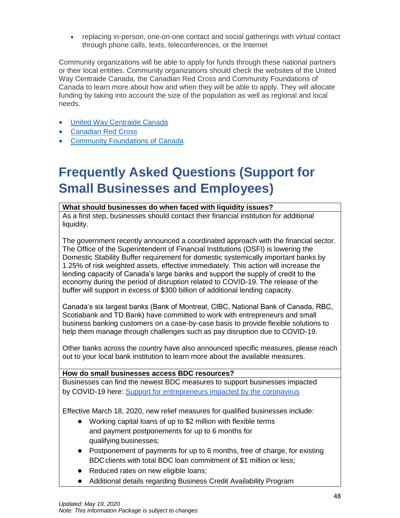• replacing in-person, one-on-one contact and social gatherings with virtual contact through phone calls, texts, teleconferences, or the Internet

Community organizations will be able to apply for funds through these national partners or their local entities. Community organizations should check the websites of the United Way Centraide Canada, the Canadian Red Cross and Community Foundations of Canada to learn more about how and when they will be able to apply. They will allocate funding by taking into account the size of the population as well as regional and local needs.

- [United Way Centraide Canada](http://www.unitedway.ca/updates/)
- [Canadian Red Cross](https://www.redcross.ca/)
- [Community Foundations of Canada](https://www.communityfoundations.ca/initiatives/responding-to-covid-19/)

## <span id="page-47-0"></span>**Frequently Asked Questions (Support for Small Businesses and Employees)**

#### **What should businesses do when faced with liquidity issues?**

As a first step, businesses should contact their financial institution for additional liquidity.

The government recently announced a coordinated approach with the financial sector. The Office of the Superintendent of Financial Institutions (OSFI) is lowering the Domestic Stability Buffer requirement for domestic systemically important banks by 1.25% of risk weighted assets, effective immediately. This action will increase the lending capacity of Canada's large banks and support the supply of credit to the economy during the period of disruption related to COVID-19. The release of the buffer will support in excess of \$300 billion of additional lending capacity.

Canada's six largest banks (Bank of Montreal, CIBC, National Bank of Canada, RBC, Scotiabank and TD Bank) have committed to work with entrepreneurs and small business banking customers on a case-by-case basis to provide flexible solutions to help them manage through challenges such as pay disruption due to COVID-19.

Other banks across the country have also announced specific measures, please reach out to your local bank institution to learn more about the available measures.

#### **How do small businesses access BDC resources?**

Businesses can find the newest BDC measures to support businesses impacted by COVID-19 here: [Support for entrepreneurs impacted by the coronavirus](https://www.bdc.ca/en/pages/special-support.aspx?special-initiative=covid19)

Effective March 18, 2020, new relief measures for qualified businesses include:

- Working capital loans of up to \$2 million with flexible terms and payment postponements for up to 6 months for qualifying businesses;
- Postponement of payments for up to 6 months, free of charge, for existing BDC clients with total BDC loan commitment of \$1 million or less;
- Reduced rates on new eligible loans;
- Additional details regarding Business Credit Availability Program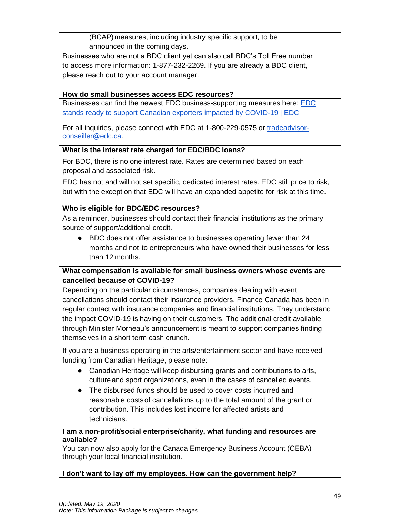(BCAP)measures, including industry specific support, to be announced in the coming days.

Businesses who are not a BDC client yet can also call BDC's Toll Free number to access more information: 1-877-232-2269. If you are already a BDC client, please reach out to your account manager.

#### **How do small businesses access EDC resources?**

Businesses can find the newest EDC business-supporting measures here: [EDC](https://www.edc.ca/en/campaign/coronavirus-covid-19.html)  [stands ready to](https://www.edc.ca/en/campaign/coronavirus-covid-19.html) [support Canadian exporters impacted by COVID-19 | EDC](https://www.edc.ca/en/campaign/coronavirus-covid-19.html)

For all inquiries, please connect with EDC at 1-800-229-0575 or [tradeadvisor](mailto:tradeadvisor-conseiller@edc.ca)[conseiller@edc.ca.](mailto:tradeadvisor-conseiller@edc.ca)

#### **What is the interest rate charged for EDC/BDC loans?**

For BDC, there is no one interest rate. Rates are determined based on each proposal and associated risk.

EDC has not and will not set specific, dedicated interest rates. EDC still price to risk, but with the exception that EDC will have an expanded appetite for risk at this time.

#### **Who is eligible for BDC/EDC resources?**

As a reminder, businesses should contact their financial institutions as the primary source of support/additional credit.

● BDC does not offer assistance to businesses operating fewer than 24 months and not to entrepreneurs who have owned their businesses for less than 12 months.

#### **What compensation is available for small business owners whose events are cancelled because of COVID-19?**

Depending on the particular circumstances, companies dealing with event cancellations should contact their insurance providers. Finance Canada has been in regular contact with insurance companies and financial institutions. They understand the impact COVID-19 is having on their customers. The additional credit available through Minister Morneau's announcement is meant to support companies finding themselves in a short term cash crunch.

If you are a business operating in the arts/entertainment sector and have received funding from Canadian Heritage, please note:

- Canadian Heritage will keep disbursing grants and contributions to arts, cultureand sport organizations, even in the cases of cancelled events.
- The disbursed funds should be used to cover costs incurred and reasonable costsof cancellations up to the total amount of the grant or contribution. This includes lost income for affected artists and technicians.

#### **I am a non-profit/social enterprise/charity, what funding and resources are available?**

You can now also apply for the Canada Emergency Business Account (CEBA) through your local financial institution.

#### **I don't want to lay off my employees. How can the government help?**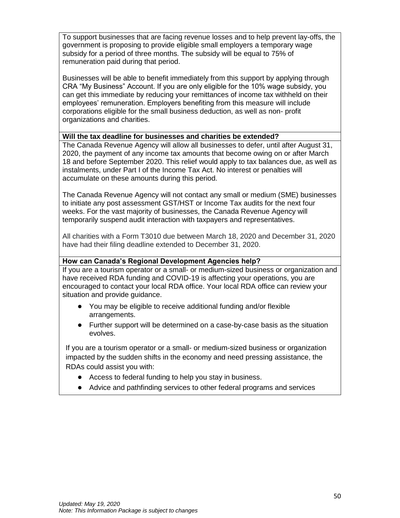To support businesses that are facing revenue losses and to help prevent lay-offs, the government is proposing to provide eligible small employers a temporary wage subsidy for a period of three months. The subsidy will be equal to 75% of remuneration paid during that period.

Businesses will be able to benefit immediately from this support by applying through CRA "My Business" Account. If you are only eligible for the 10% wage subsidy, you can get this immediate by reducing your remittances of income tax withheld on their employees' remuneration. Employers benefiting from this measure will include corporations eligible for the small business deduction, as well as non- profit organizations and charities.

#### **Will the tax deadline for businesses and charities be extended?**

The Canada Revenue Agency will allow all businesses to defer, until after August 31, 2020, the payment of any income tax amounts that become owing on or after March 18 and before September 2020. This relief would apply to tax balances due, as well as instalments, under Part I of the Income Tax Act. No interest or penalties will accumulate on these amounts during this period.

The Canada Revenue Agency will not contact any small or medium (SME) businesses to initiate any post assessment GST/HST or Income Tax audits for the next four weeks. For the vast majority of businesses, the Canada Revenue Agency will temporarily suspend audit interaction with taxpayers and representatives.

All charities with a Form T3010 due between March 18, 2020 and December 31, 2020 have had their filing deadline extended to December 31, 2020.

#### **How can Canada's Regional Development Agencies help?**

If you are a tourism operator or a small- or medium-sized business or organization and have received RDA funding and COVID-19 is affecting your operations, you are encouraged to contact your local RDA office. Your local RDA office can review your situation and provide guidance.

- You may be eligible to receive additional funding and/or flexible arrangements.
- Further support will be determined on a case-by-case basis as the situation evolves.

If you are a tourism operator or a small- or medium-sized business or organization impacted by the sudden shifts in the economy and need pressing assistance, the RDAs could assist you with:

- Access to federal funding to help you stay in business.
- Advice and pathfinding services to other federal programs and services